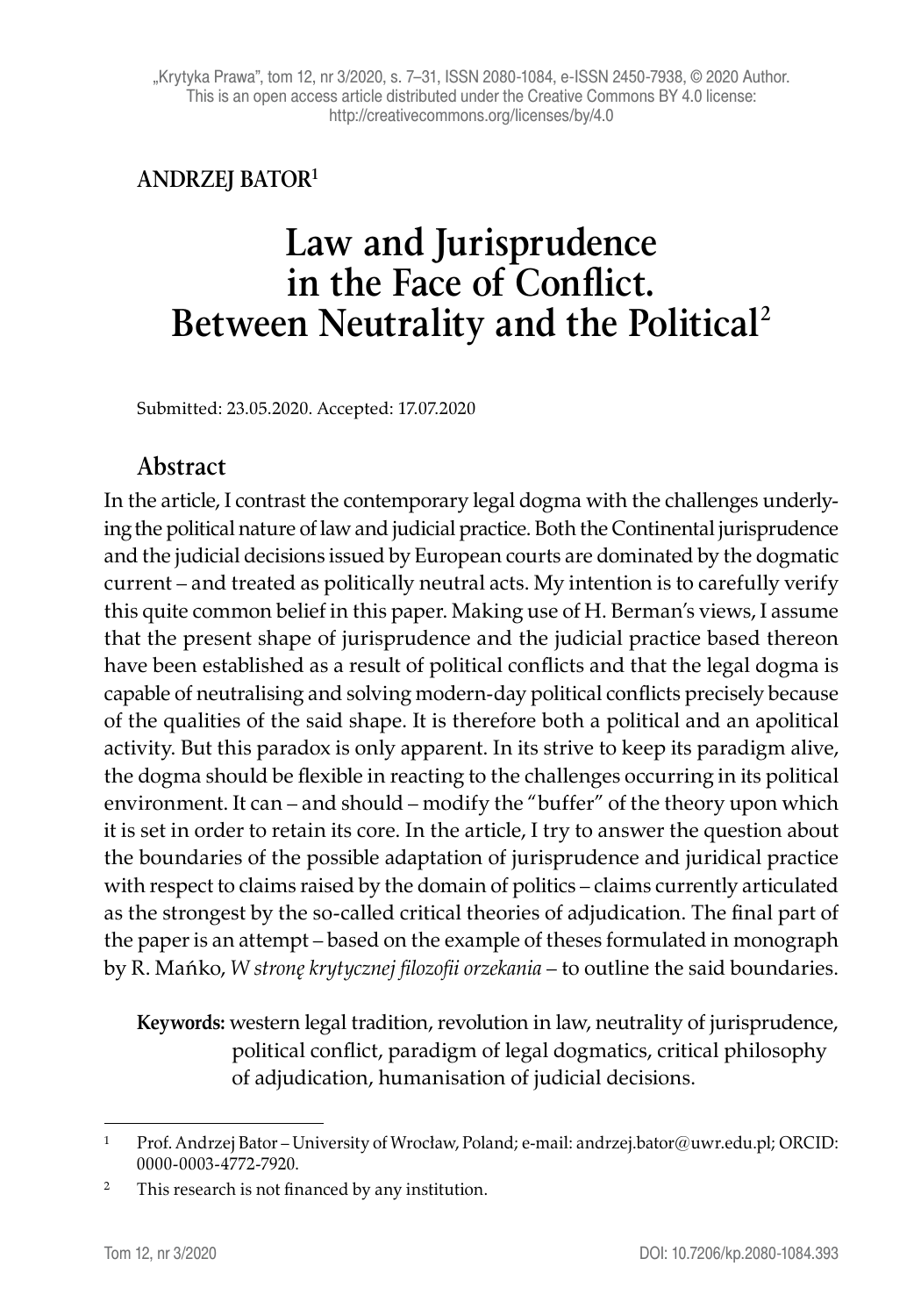#### **ANDRZEJ BATOR1**

# **Law and Jurisprudence in the Face of Conflict. Between Neutrality and the Political<sup>2</sup>**

Submitted: 23.05.2020. Accepted: 17.07.2020

#### **Abstract**

In the article, I contrast the contemporary legal dogma with the challenges underlying the political nature of law and judicial practice. Both the Continental jurisprudence and the judicial decisions issued by European courts are dominated by the dogmatic current – and treated as politically neutral acts. My intention is to carefully verify this quite common belief in this paper. Making use of H. Berman's views, I assume that the present shape of jurisprudence and the judicial practice based thereon have been established as a result of political conflicts and that the legal dogma is capable of neutralising and solving modern-day political conflicts precisely because of the qualities of the said shape. It is therefore both a political and an apolitical activity. But this paradox is only apparent. In its strive to keep its paradigm alive, the dogma should be flexible in reacting to the challenges occurring in its political environment. It can – and should – modify the "buffer" of the theory upon which it is set in order to retain its core. In the article, I try to answer the question about the boundaries of the possible adaptation of jurisprudence and juridical practice with respect to claims raised by the domain of politics – claims currently articulated as the strongest by the so-called critical theories of adjudication. The final part of the paper is an attempt – based on the example of theses formulated in monograph by R. Mańko, *W stronę krytycznej filozofii orzekania* – to outline the said boundaries.

**Keywords:** western legal tradition, revolution in law, neutrality of jurisprudence, political conflict, paradigm of legal dogmatics, critical philosophy of adjudication, humanisation of judicial decisions.

<sup>1</sup> Prof. Andrzej Bator – University of Wrocław, Poland; e-mail: andrzej.bator@uwr.edu.pl; ORCID: 0000-0003-4772-7920.

<sup>&</sup>lt;sup>2</sup> This research is not financed by any institution.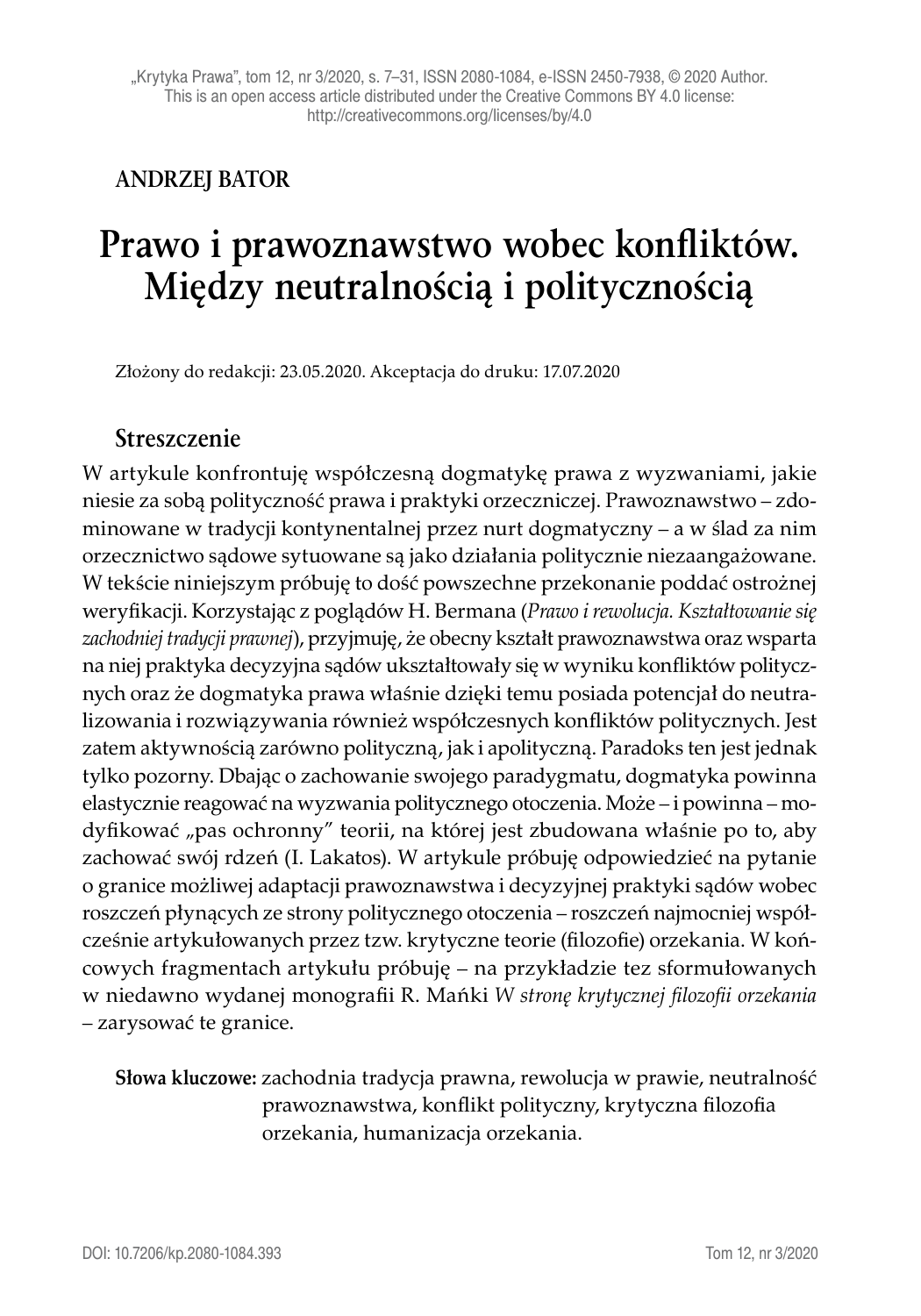#### **ANDRZEJ BATOR**

# **Prawo i prawoznawstwo wobec konfliktów. Między neutralnością i politycznością**

Złożony do redakcji: 23.05.2020. Akceptacja do druku: 17.07.2020

#### **Streszczenie**

W artykule konfrontuję współczesną dogmatykę prawa z wyzwaniami, jakie niesie za sobą polityczność prawa i praktyki orzeczniczej. Prawoznawstwo – zdominowane w tradycji kontynentalnej przez nurt dogmatyczny – a w ślad za nim orzecznictwo sądowe sytuowane są jako działania politycznie niezaangażowane. W tekście niniejszym próbuję to dość powszechne przekonanie poddać ostrożnej weryfikacji. Korzystając z poglądów H. Bermana (*Prawo i rewolucja. Kształtowanie się zachodniej tradycji prawnej*), przyjmuję, że obecny kształt prawoznawstwa oraz wsparta na niej praktyka decyzyjna sądów ukształtowały się w wyniku konfliktów politycznych oraz że dogmatyka prawa właśnie dzięki temu posiada potencjał do neutralizowania i rozwiązywania również współczesnych konfliktów politycznych. Jest zatem aktywnością zarówno polityczną, jak i apolityczną. Paradoks ten jest jednak tylko pozorny. Dbając o zachowanie swojego paradygmatu, dogmatyka powinna elastycznie reagować na wyzwania politycznego otoczenia. Może – i powinna – modyfikować "pas ochronny" teorii, na której jest zbudowana właśnie po to, aby zachować swój rdzeń (I. Lakatos). W artykule próbuję odpowiedzieć na pytanie o granice możliwej adaptacji prawoznawstwa i decyzyjnej praktyki sądów wobec roszczeń płynących ze strony politycznego otoczenia – roszczeń najmocniej współcześnie artykułowanych przez tzw. krytyczne teorie (filozofie) orzekania. W końcowych fragmentach artykułu próbuję – na przykładzie tez sformułowanych w niedawno wydanej monografii R. Mańki *W stronę krytycznej filozofii orzekania* – zarysować te granice.

**Słowa kluczowe:** zachodnia tradycja prawna, rewolucja w prawie, neutralność prawoznawstwa, konflikt polityczny, krytyczna filozofia orzekania, humanizacja orzekania.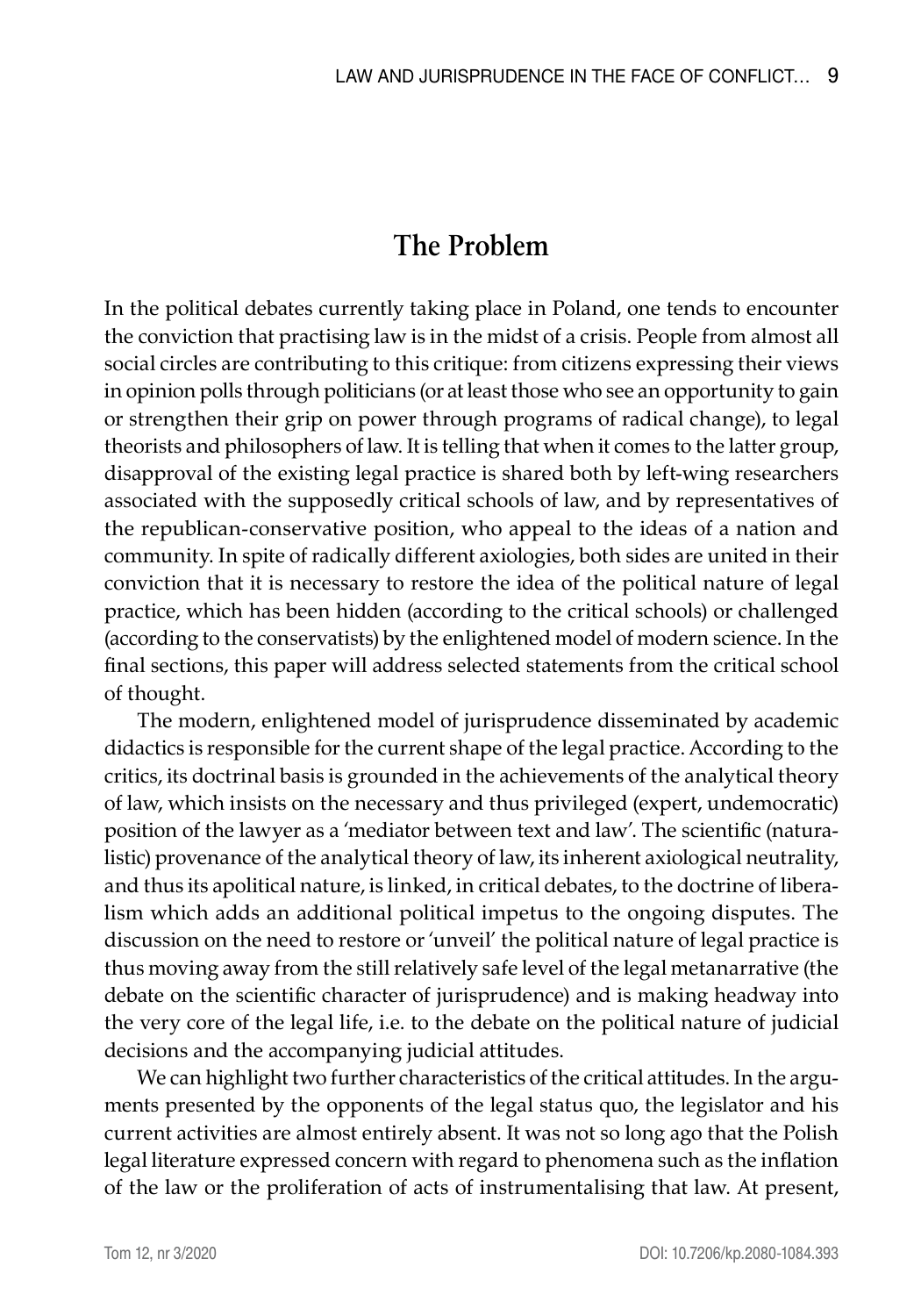### **The Problem**

In the political debates currently taking place in Poland, one tends to encounter the conviction that practising law is in the midst of a crisis. People from almost all social circles are contributing to this critique: from citizens expressing their views in opinion polls through politicians (or at least those who see an opportunity to gain or strengthen their grip on power through programs of radical change), to legal theorists and philosophers of law. It is telling that when it comes to the latter group, disapproval of the existing legal practice is shared both by left-wing researchers associated with the supposedly critical schools of law, and by representatives of the republican-conservative position, who appeal to the ideas of a nation and community. In spite of radically different axiologies, both sides are united in their conviction that it is necessary to restore the idea of the political nature of legal practice, which has been hidden (according to the critical schools) or challenged (according to the conservatists) by the enlightened model of modern science. In the final sections, this paper will address selected statements from the critical school of thought.

The modern, enlightened model of jurisprudence disseminated by academic didactics is responsible for the current shape of the legal practice. According to the critics, its doctrinal basis is grounded in the achievements of the analytical theory of law, which insists on the necessary and thus privileged (expert, undemocratic) position of the lawyer as a 'mediator between text and law'. The scientific (naturalistic) provenance of the analytical theory of law, its inherent axiological neutrality, and thus its apolitical nature, is linked, in critical debates, to the doctrine of liberalism which adds an additional political impetus to the ongoing disputes. The discussion on the need to restore or 'unveil' the political nature of legal practice is thus moving away from the still relatively safe level of the legal metanarrative (the debate on the scientific character of jurisprudence) and is making headway into the very core of the legal life, i.e. to the debate on the political nature of judicial decisions and the accompanying judicial attitudes.

We can highlight two further characteristics of the critical attitudes. In the arguments presented by the opponents of the legal status quo, the legislator and his current activities are almost entirely absent. It was not so long ago that the Polish legal literature expressed concern with regard to phenomena such as the inflation of the law or the proliferation of acts of instrumentalising that law. At present,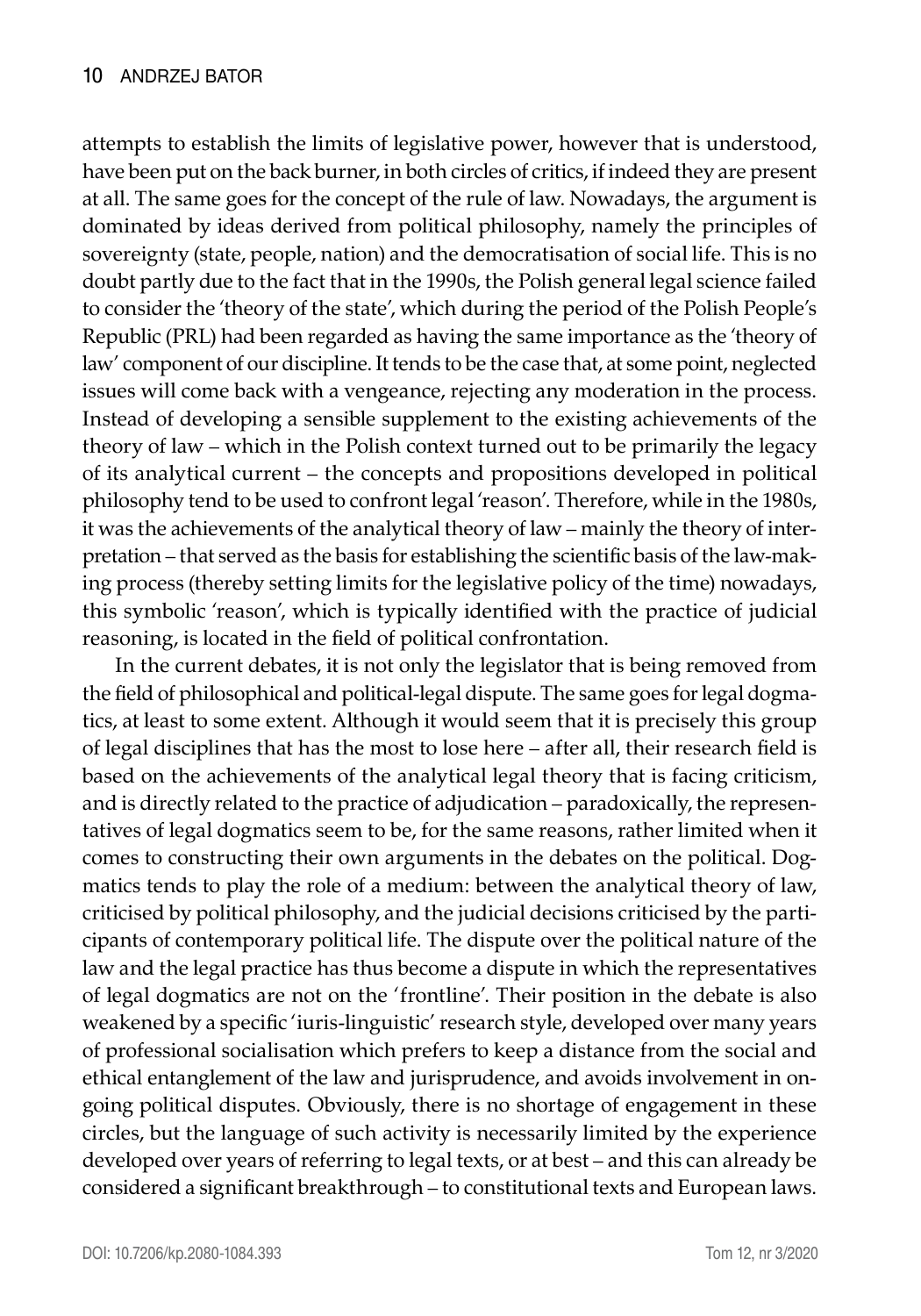attempts to establish the limits of legislative power, however that is understood, have been put on the back burner, in both circles of critics, if indeed they are present at all. The same goes for the concept of the rule of law. Nowadays, the argument is dominated by ideas derived from political philosophy, namely the principles of sovereignty (state, people, nation) and the democratisation of social life. This is no doubt partly due to the fact that in the 1990s, the Polish general legal science failed to consider the 'theory of the state', which during the period of the Polish People's Republic (PRL) had been regarded as having the same importance as the 'theory of law' component of our discipline. It tends to be the case that, at some point, neglected issues will come back with a vengeance, rejecting any moderation in the process. Instead of developing a sensible supplement to the existing achievements of the theory of law – which in the Polish context turned out to be primarily the legacy of its analytical current – the concepts and propositions developed in political philosophy tend to be used to confront legal 'reason'. Therefore, while in the 1980s, it was the achievements of the analytical theory of law – mainly the theory of interpretation – that served as the basis for establishing the scientific basis of the law-making process (thereby setting limits for the legislative policy of the time) nowadays, this symbolic 'reason', which is typically identified with the practice of judicial reasoning, is located in the field of political confrontation.

In the current debates, it is not only the legislator that is being removed from the field of philosophical and political-legal dispute. The same goes for legal dogmatics, at least to some extent. Although it would seem that it is precisely this group of legal disciplines that has the most to lose here – after all, their research field is based on the achievements of the analytical legal theory that is facing criticism, and is directly related to the practice of adjudication – paradoxically, the representatives of legal dogmatics seem to be, for the same reasons, rather limited when it comes to constructing their own arguments in the debates on the political. Dogmatics tends to play the role of a medium: between the analytical theory of law, criticised by political philosophy, and the judicial decisions criticised by the participants of contemporary political life. The dispute over the political nature of the law and the legal practice has thus become a dispute in which the representatives of legal dogmatics are not on the 'frontline'. Their position in the debate is also weakened by a specific 'iuris-linguistic' research style, developed over many years of professional socialisation which prefers to keep a distance from the social and ethical entanglement of the law and jurisprudence, and avoids involvement in ongoing political disputes. Obviously, there is no shortage of engagement in these circles, but the language of such activity is necessarily limited by the experience developed over years of referring to legal texts, or at best – and this can already be considered a significant breakthrough – to constitutional texts and European laws.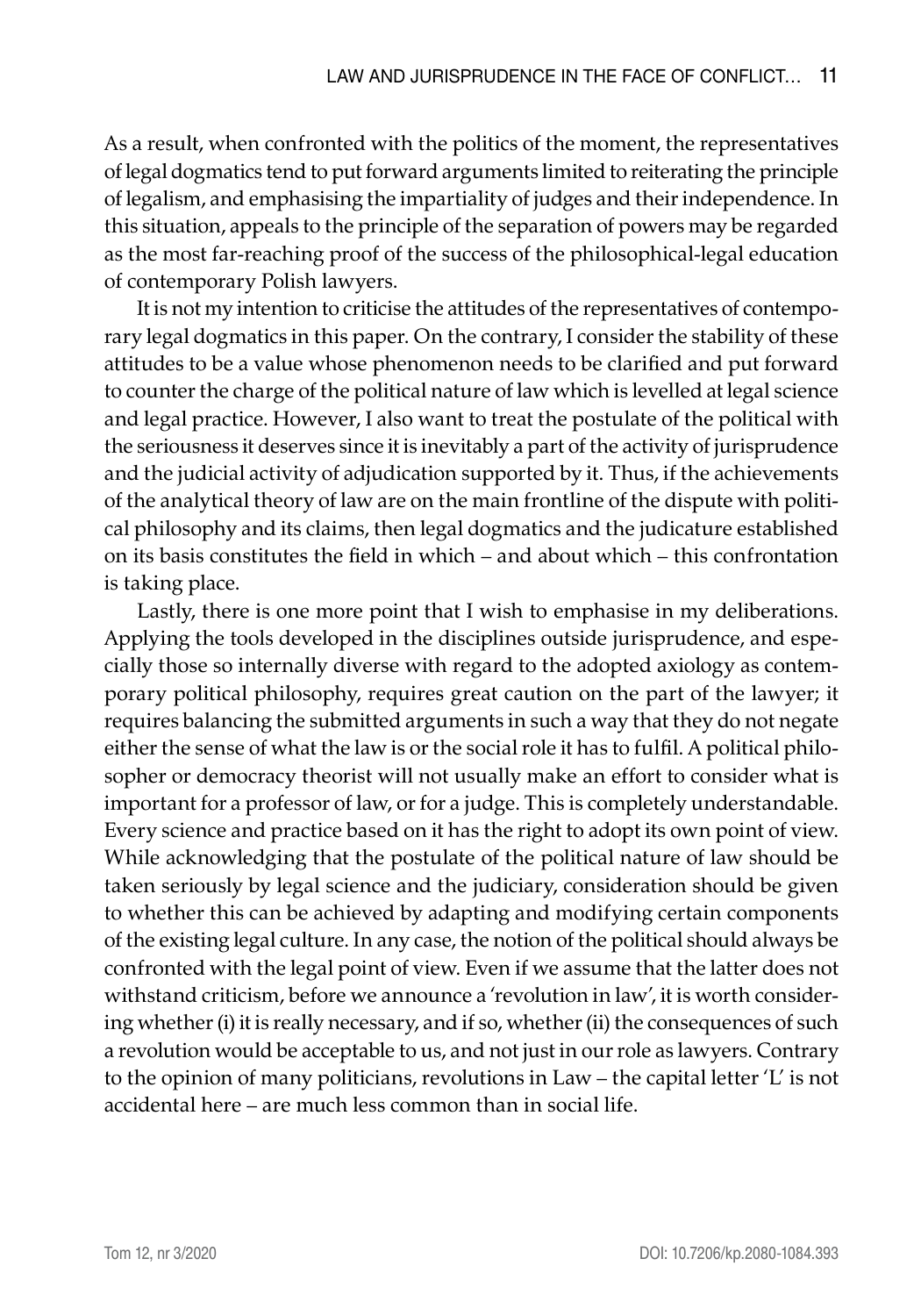As a result, when confronted with the politics of the moment, the representatives of legal dogmatics tend to put forward arguments limited to reiterating the principle of legalism, and emphasising the impartiality of judges and their independence. In this situation, appeals to the principle of the separation of powers may be regarded as the most far-reaching proof of the success of the philosophical-legal education of contemporary Polish lawyers.

It is not my intention to criticise the attitudes of the representatives of contemporary legal dogmatics in this paper. On the contrary, I consider the stability of these attitudes to be a value whose phenomenon needs to be clarified and put forward to counter the charge of the political nature of law which is levelled at legal science and legal practice. However, I also want to treat the postulate of the political with the seriousness it deserves since it is inevitably a part of the activity of jurisprudence and the judicial activity of adjudication supported by it. Thus, if the achievements of the analytical theory of law are on the main frontline of the dispute with political philosophy and its claims, then legal dogmatics and the judicature established on its basis constitutes the field in which – and about which – this confrontation is taking place.

Lastly, there is one more point that I wish to emphasise in my deliberations. Applying the tools developed in the disciplines outside jurisprudence, and especially those so internally diverse with regard to the adopted axiology as contemporary political philosophy, requires great caution on the part of the lawyer; it requires balancing the submitted arguments in such a way that they do not negate either the sense of what the law is or the social role it has to fulfil. A political philosopher or democracy theorist will not usually make an effort to consider what is important for a professor of law, or for a judge. This is completely understandable. Every science and practice based on it has the right to adopt its own point of view. While acknowledging that the postulate of the political nature of law should be taken seriously by legal science and the judiciary, consideration should be given to whether this can be achieved by adapting and modifying certain components of the existing legal culture. In any case, the notion of the political should always be confronted with the legal point of view. Even if we assume that the latter does not withstand criticism, before we announce a 'revolution in law', it is worth considering whether (i) it is really necessary, and if so, whether (ii) the consequences of such a revolution would be acceptable to us, and not just in our role as lawyers. Contrary to the opinion of many politicians, revolutions in Law – the capital letter 'L' is not accidental here – are much less common than in social life.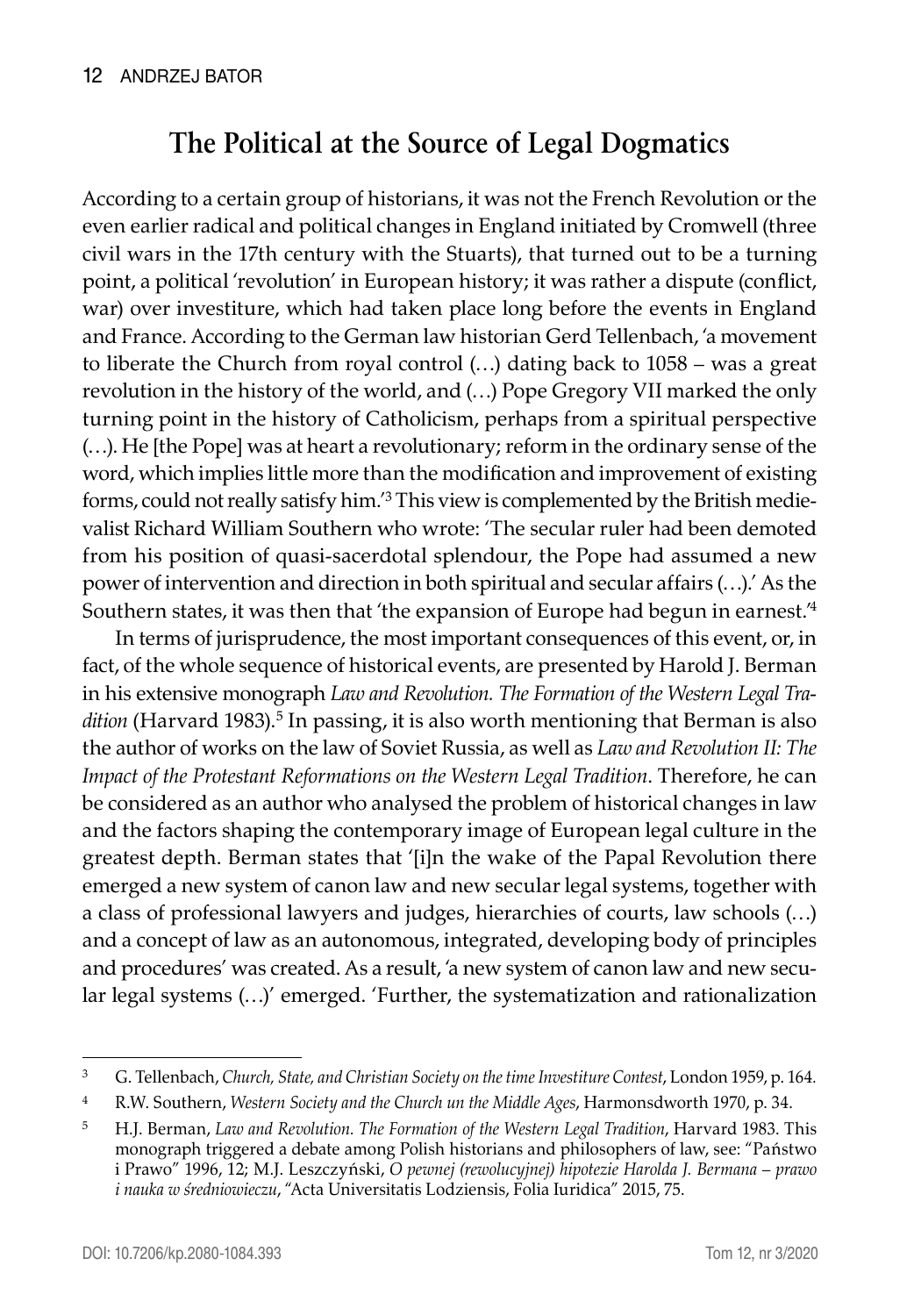## **The Political at the Source of Legal Dogmatics**

According to a certain group of historians, it was not the French Revolution or the even earlier radical and political changes in England initiated by Cromwell (three civil wars in the 17th century with the Stuarts), that turned out to be a turning point, a political 'revolution' in European history; it was rather a dispute (conflict, war) over investiture, which had taken place long before the events in England and France. According to the German law historian Gerd Tellenbach, 'a movement to liberate the Church from royal control (…) dating back to 1058 – was a great revolution in the history of the world, and (…) Pope Gregory VII marked the only turning point in the history of Catholicism, perhaps from a spiritual perspective (…). He [the Pope] was at heart a revolutionary; reform in the ordinary sense of the word, which implies little more than the modification and improvement of existing forms, could not really satisfy him.'<sup>3</sup> This view is complemented by the British medievalist Richard William Southern who wrote: 'The secular ruler had been demoted from his position of quasi-sacerdotal splendour, the Pope had assumed a new power of intervention and direction in both spiritual and secular affairs (…).' As the Southern states, it was then that 'the expansion of Europe had begun in earnest.'<sup>4</sup>

In terms of jurisprudence, the most important consequences of this event, or, in fact, of the whole sequence of historical events, are presented by Harold J. Berman in his extensive monograph *Law and Revolution. The Formation of the Western Legal Tra*dition (Harvard 1983).<sup>5</sup> In passing, it is also worth mentioning that Berman is also the author of works on the law of Soviet Russia, as well as *Law and Revolution II: The Impact of the Protestant Reformations on the Western Legal Tradition*. Therefore, he can be considered as an author who analysed the problem of historical changes in law and the factors shaping the contemporary image of European legal culture in the greatest depth. Berman states that '[i]n the wake of the Papal Revolution there emerged a new system of canon law and new secular legal systems, together with a class of professional lawyers and judges, hierarchies of courts, law schools (…) and a concept of law as an autonomous, integrated, developing body of principles and procedures' was created. As a result, 'a new system of canon law and new secular legal systems (…)' emerged. 'Further, the systematization and rationalization

<sup>3</sup> G. Tellenbach, *Church, State, and Christian Society on the time Investiture Contest*, London 1959, p. 164*.*

<sup>4</sup> R.W. Southern, *Western Society and the Church un the Middle Ages*, Harmonsdworth 1970, p. 34.

<sup>5</sup> H.J. Berman, *Law and Revolution. The Formation of the Western Legal Tradition*, Harvard 1983. This monograph triggered a debate among Polish historians and philosophers of law, see: "Państwo i Prawo" 1996, 12; M.J. Leszczyński, *O pewnej (rewolucyjnej) hipotezie Harolda J. Bermana – prawo i nauka w średniowieczu*, "Acta Universitatis Lodziensis, Folia Iuridica" 2015, 75.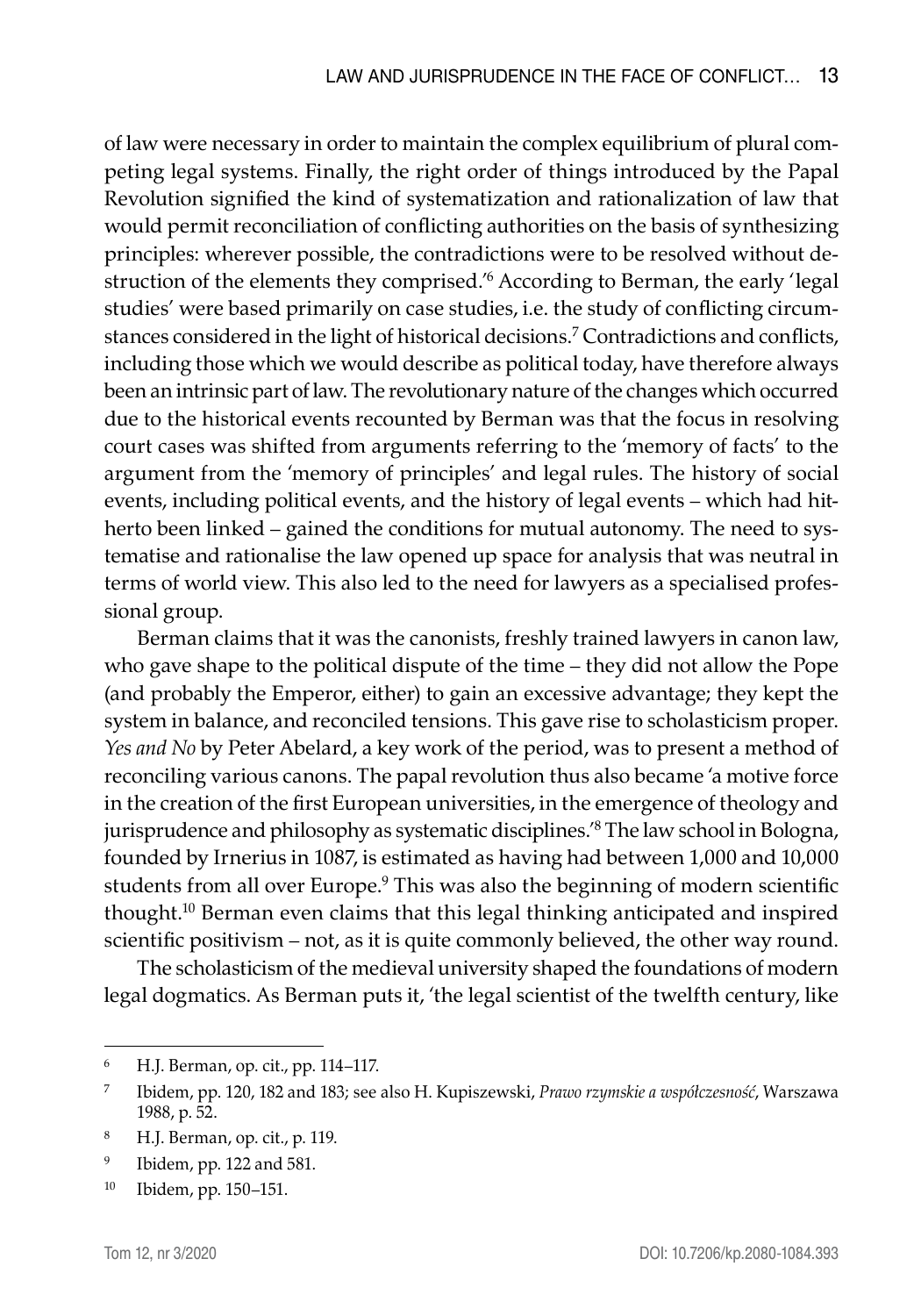of law were necessary in order to maintain the complex equilibrium of plural competing legal systems. Finally, the right order of things introduced by the Papal Revolution signified the kind of systematization and rationalization of law that would permit reconciliation of conflicting authorities on the basis of synthesizing principles: wherever possible, the contradictions were to be resolved without destruction of the elements they comprised.'6 According to Berman, the early 'legal studies' were based primarily on case studies, i.e. the study of conflicting circumstances considered in the light of historical decisions.<sup>7</sup> Contradictions and conflicts, including those which we would describe as political today, have therefore always been an intrinsic part of law. The revolutionary nature of the changes which occurred due to the historical events recounted by Berman was that the focus in resolving court cases was shifted from arguments referring to the 'memory of facts' to the argument from the 'memory of principles' and legal rules. The history of social events, including political events, and the history of legal events – which had hitherto been linked – gained the conditions for mutual autonomy. The need to systematise and rationalise the law opened up space for analysis that was neutral in terms of world view. This also led to the need for lawyers as a specialised professional group.

Berman claims that it was the canonists, freshly trained lawyers in canon law, who gave shape to the political dispute of the time – they did not allow the Pope (and probably the Emperor, either) to gain an excessive advantage; they kept the system in balance, and reconciled tensions. This gave rise to scholasticism proper. *Yes and No* by Peter Abelard, a key work of the period, was to present a method of reconciling various canons. The papal revolution thus also became 'a motive force in the creation of the first European universities, in the emergence of theology and jurisprudence and philosophy as systematic disciplines.'8 The law school in Bologna, founded by Irnerius in 1087, is estimated as having had between 1,000 and 10,000 students from all over Europe.<sup>9</sup> This was also the beginning of modern scientific thought.<sup>10</sup> Berman even claims that this legal thinking anticipated and inspired scientific positivism – not, as it is quite commonly believed, the other way round.

The scholasticism of the medieval university shaped the foundations of modern legal dogmatics. As Berman puts it, 'the legal scientist of the twelfth century, like

<sup>6</sup> H.J. Berman, op. cit., pp. 114–117.

<sup>7</sup> Ibidem, pp. 120, 182 and 183; see also H. Kupiszewski, *Prawo rzymskie a współczesność*, Warszawa 1988, p. 52.

<sup>8</sup> H.J. Berman, op. cit., p. 119.

<sup>9</sup> Ibidem, pp. 122 and 581.

<sup>10</sup> Ibidem, pp. 150–151.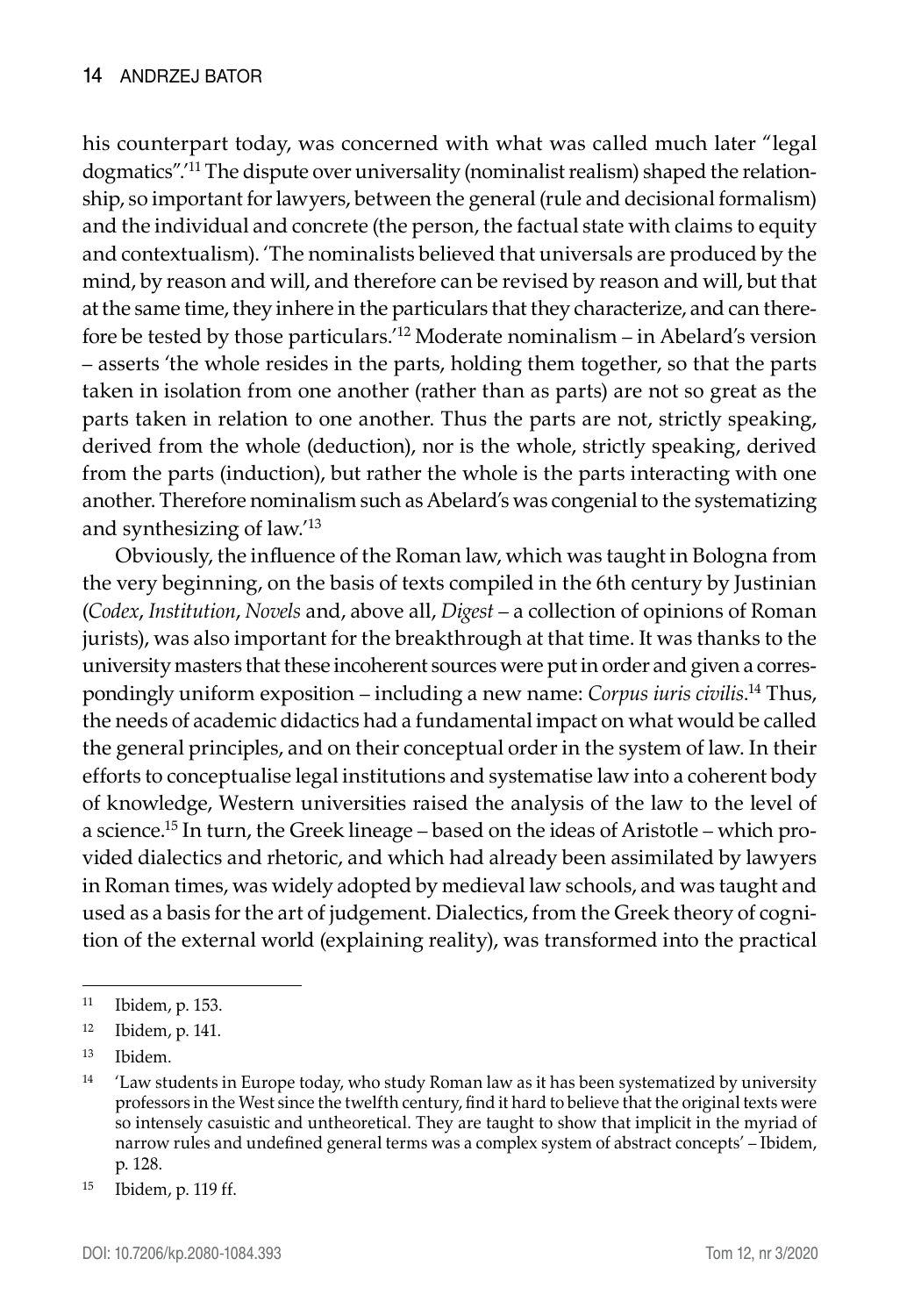his counterpart today, was concerned with what was called much later "legal dogmatics".'11 The dispute over universality (nominalist realism) shaped the relationship, so important for lawyers, between the general (rule and decisional formalism) and the individual and concrete (the person, the factual state with claims to equity and contextualism). 'The nominalists believed that universals are produced by the mind, by reason and will, and therefore can be revised by reason and will, but that at the same time, they inhere in the particulars that they characterize, and can therefore be tested by those particulars.'<sup>12</sup> Moderate nominalism – in Abelard's version – asserts 'the whole resides in the parts, holding them together, so that the parts taken in isolation from one another (rather than as parts) are not so great as the parts taken in relation to one another. Thus the parts are not, strictly speaking, derived from the whole (deduction), nor is the whole, strictly speaking, derived from the parts (induction), but rather the whole is the parts interacting with one another. Therefore nominalism such as Abelard's was congenial to the systematizing and synthesizing of law.'<sup>13</sup>

Obviously, the influence of the Roman law, which was taught in Bologna from the very beginning, on the basis of texts compiled in the 6th century by Justinian (*Codex*, *Institution*, *Novels* and, above all, *Digest –* a collection of opinions of Roman jurists), was also important for the breakthrough at that time. It was thanks to the university masters that these incoherent sources were put in order and given a correspondingly uniform exposition – including a new name: *Corpus iuris civilis*. <sup>14</sup> Thus, the needs of academic didactics had a fundamental impact on what would be called the general principles, and on their conceptual order in the system of law. In their efforts to conceptualise legal institutions and systematise law into a coherent body of knowledge, Western universities raised the analysis of the law to the level of a science.15 In turn, the Greek lineage – based on the ideas of Aristotle – which provided dialectics and rhetoric, and which had already been assimilated by lawyers in Roman times, was widely adopted by medieval law schools, and was taught and used as a basis for the art of judgement. Dialectics, from the Greek theory of cognition of the external world (explaining reality), was transformed into the practical

<sup>11</sup> Ibidem, p. 153.

<sup>12</sup> Ibidem, p. 141.

<sup>13</sup> Ibidem.

 $14$  'Law students in Europe today, who study Roman law as it has been systematized by university professors in the West since the twelfth century, find it hard to believe that the original texts were so intensely casuistic and untheoretical. They are taught to show that implicit in the myriad of narrow rules and undefined general terms was a complex system of abstract concepts' – Ibidem, p. 128.

<sup>15</sup> Ibidem, p. 119 ff.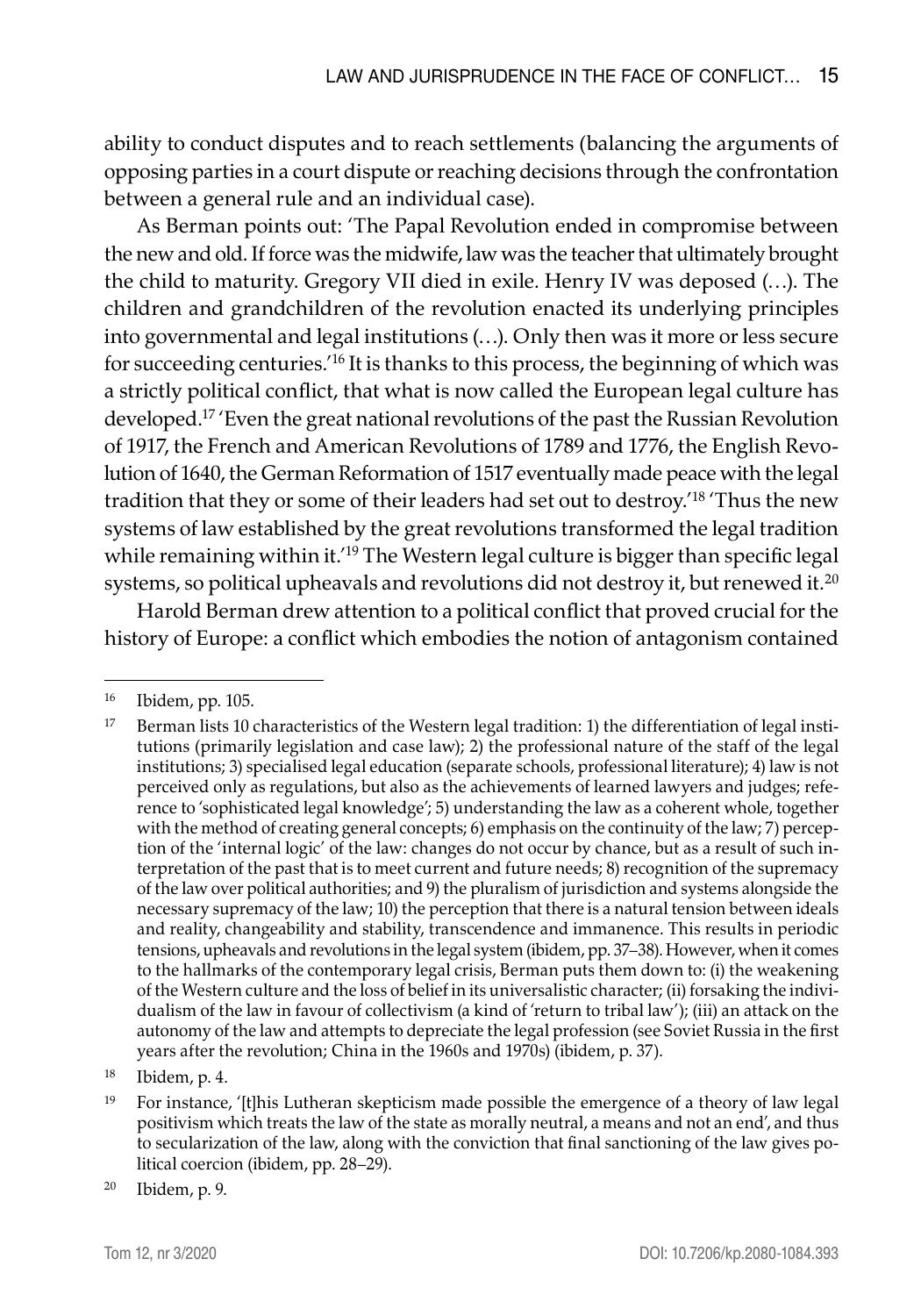ability to conduct disputes and to reach settlements (balancing the arguments of opposing parties in a court dispute or reaching decisions through the confrontation between a general rule and an individual case).

As Berman points out: 'The Papal Revolution ended in compromise between the new and old. If force was the midwife, law was the teacher that ultimately brought the child to maturity. Gregory VII died in exile. Henry IV was deposed (…). The children and grandchildren of the revolution enacted its underlying principles into governmental and legal institutions (…). Only then was it more or less secure for succeeding centuries.'16 It is thanks to this process, the beginning of which was a strictly political conflict, that what is now called the European legal culture has developed.<sup>17</sup> 'Even the great national revolutions of the past the Russian Revolution of 1917, the French and American Revolutions of 1789 and 1776, the English Revolution of 1640, the German Reformation of 1517 eventually made peace with the legal tradition that they or some of their leaders had set out to destroy.'18 'Thus the new systems of law established by the great revolutions transformed the legal tradition while remaining within it.<sup>'19</sup> The Western legal culture is bigger than specific legal systems, so political upheavals and revolutions did not destroy it, but renewed it.<sup>20</sup>

Harold Berman drew attention to a political conflict that proved crucial for the history of Europe: a conflict which embodies the notion of antagonism contained

<sup>16</sup> Ibidem, pp. 105.

<sup>&</sup>lt;sup>17</sup> Berman lists 10 characteristics of the Western legal tradition: 1) the differentiation of legal institutions (primarily legislation and case law); 2) the professional nature of the staff of the legal institutions; 3) specialised legal education (separate schools, professional literature); 4) law is not perceived only as regulations, but also as the achievements of learned lawyers and judges; reference to 'sophisticated legal knowledge'; 5) understanding the law as a coherent whole, together with the method of creating general concepts; 6) emphasis on the continuity of the law; 7) perception of the 'internal logic' of the law: changes do not occur by chance, but as a result of such interpretation of the past that is to meet current and future needs; 8) recognition of the supremacy of the law over political authorities; and 9) the pluralism of jurisdiction and systems alongside the necessary supremacy of the law; 10) the perception that there is a natural tension between ideals and reality, changeability and stability, transcendence and immanence. This results in periodic tensions, upheavals and revolutions in the legal system (ibidem, pp. 37–38). However, when it comes to the hallmarks of the contemporary legal crisis, Berman puts them down to: (i) the weakening of the Western culture and the loss of belief in its universalistic character; (ii) forsaking the individualism of the law in favour of collectivism (a kind of 'return to tribal law'); (iii) an attack on the autonomy of the law and attempts to depreciate the legal profession (see Soviet Russia in the first years after the revolution; China in the 1960s and 1970s) (ibidem, p. 37).

<sup>18</sup> Ibidem, p. 4.

<sup>&</sup>lt;sup>19</sup> For instance, '[t]his Lutheran skepticism made possible the emergence of a theory of law legal positivism which treats the law of the state as morally neutral, a means and not an end', and thus to secularization of the law, along with the conviction that final sanctioning of the law gives political coercion (ibidem, pp. 28–29).

<sup>20</sup> Ibidem, p. 9.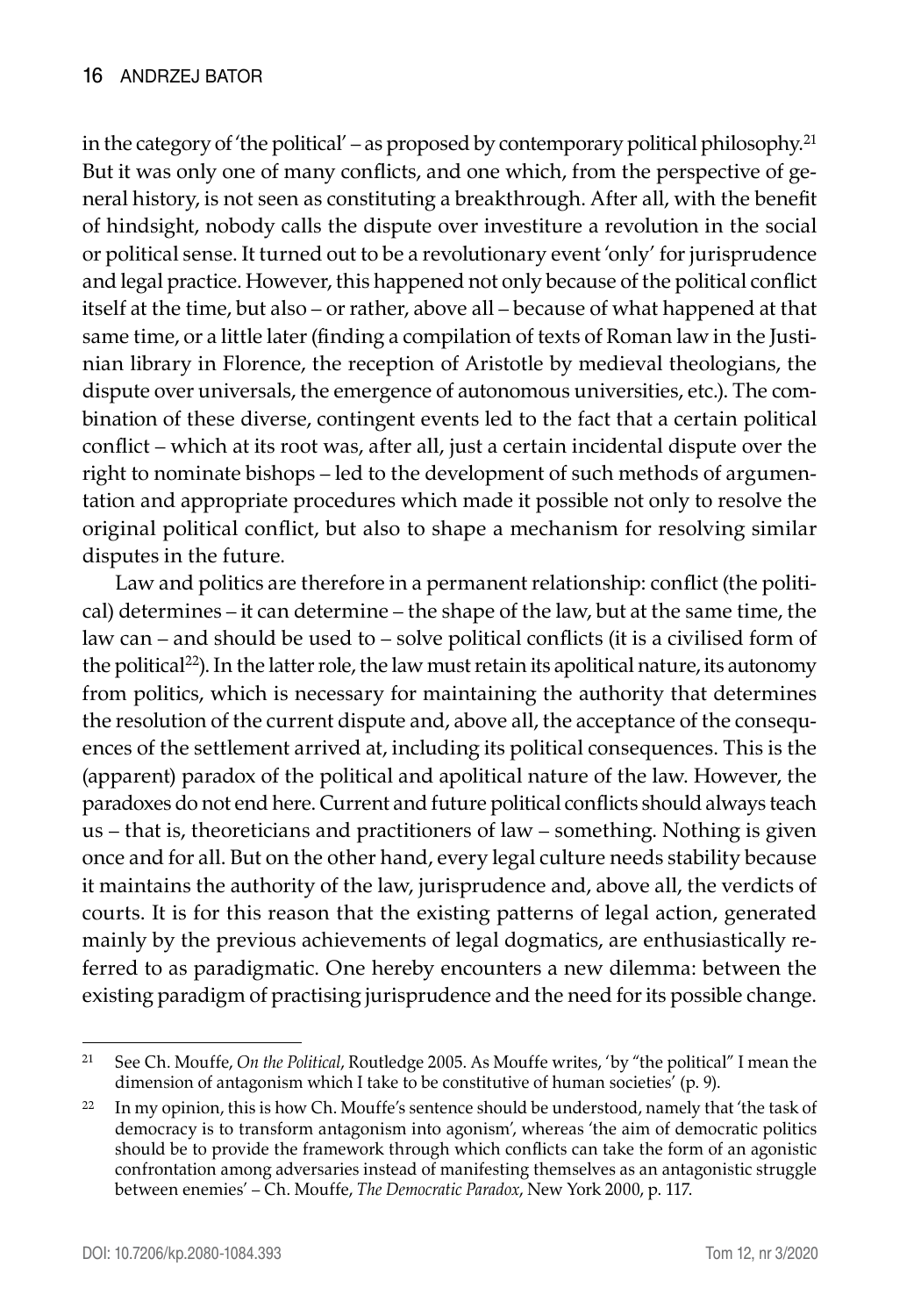in the category of 'the political' – as proposed by contemporary political philosophy.<sup>21</sup> But it was only one of many conflicts, and one which, from the perspective of general history, is not seen as constituting a breakthrough. After all, with the benefit of hindsight, nobody calls the dispute over investiture a revolution in the social or political sense. It turned out to be a revolutionary event 'only' for jurisprudence and legal practice. However, this happened not only because of the political conflict itself at the time, but also – or rather, above all – because of what happened at that same time, or a little later (finding a compilation of texts of Roman law in the Justinian library in Florence, the reception of Aristotle by medieval theologians, the dispute over universals, the emergence of autonomous universities, etc.). The combination of these diverse, contingent events led to the fact that a certain political conflict – which at its root was, after all, just a certain incidental dispute over the right to nominate bishops – led to the development of such methods of argumentation and appropriate procedures which made it possible not only to resolve the original political conflict, but also to shape a mechanism for resolving similar disputes in the future.

Law and politics are therefore in a permanent relationship: conflict (the political) determines – it can determine – the shape of the law, but at the same time, the law can – and should be used to – solve political conflicts (it is a civilised form of the political<sup>22</sup>). In the latter role, the law must retain its apolitical nature, its autonomy from politics, which is necessary for maintaining the authority that determines the resolution of the current dispute and, above all, the acceptance of the consequences of the settlement arrived at, including its political consequences. This is the (apparent) paradox of the political and apolitical nature of the law. However, the paradoxes do not end here. Current and future political conflicts should always teach us – that is, theoreticians and practitioners of law – something. Nothing is given once and for all. But on the other hand, every legal culture needs stability because it maintains the authority of the law, jurisprudence and, above all, the verdicts of courts. It is for this reason that the existing patterns of legal action, generated mainly by the previous achievements of legal dogmatics, are enthusiastically referred to as paradigmatic. One hereby encounters a new dilemma: between the existing paradigm of practising jurisprudence and the need for its possible change.

<sup>21</sup> See Ch. Mouffe, *On the Political*, Routledge 2005. As Mouffe writes, 'by "the political" I mean the dimension of antagonism which I take to be constitutive of human societies' (p. 9).

<sup>&</sup>lt;sup>22</sup> In my opinion, this is how Ch. Mouffe's sentence should be understood, namely that 'the task of democracy is to transform antagonism into agonism', whereas 'the aim of democratic politics should be to provide the framework through which conflicts can take the form of an agonistic confrontation among adversaries instead of manifesting themselves as an antagonistic struggle between enemies' – Ch. Mouffe, *The Democratic Paradox*, New York 2000, p. 117.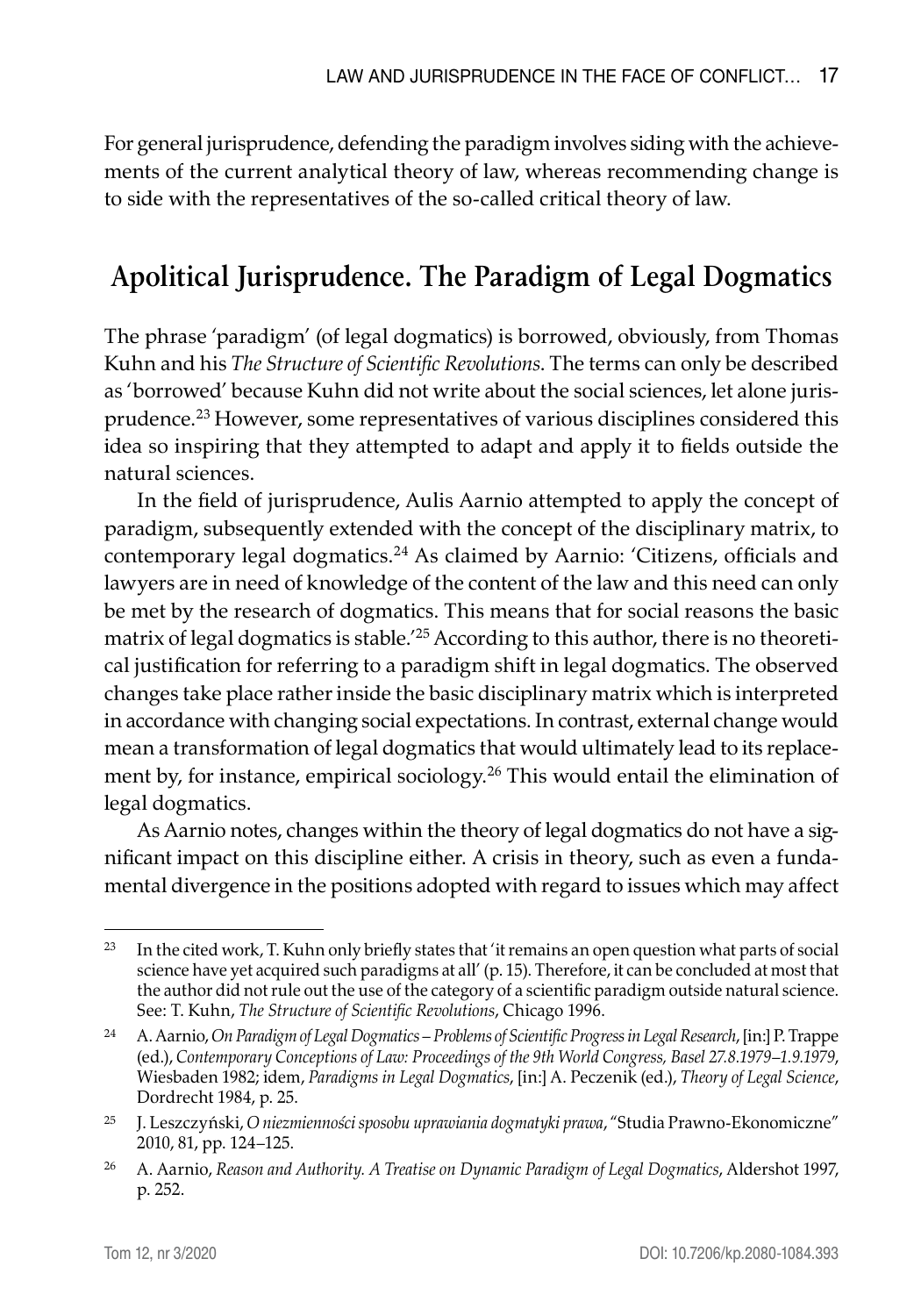For general jurisprudence, defending the paradigm involves siding with the achievements of the current analytical theory of law, whereas recommending change is to side with the representatives of the so-called critical theory of law.

## **Apolitical Jurisprudence. The Paradigm of Legal Dogmatics**

The phrase 'paradigm' (of legal dogmatics) is borrowed, obviously, from Thomas Kuhn and his *The Structure of Scientific Revolutions*. The terms can only be described as 'borrowed' because Kuhn did not write about the social sciences, let alone jurisprudence.23 However, some representatives of various disciplines considered this idea so inspiring that they attempted to adapt and apply it to fields outside the natural sciences.

In the field of jurisprudence, Aulis Aarnio attempted to apply the concept of paradigm, subsequently extended with the concept of the disciplinary matrix, to contemporary legal dogmatics.<sup>24</sup> As claimed by Aarnio: 'Citizens, officials and lawyers are in need of knowledge of the content of the law and this need can only be met by the research of dogmatics. This means that for social reasons the basic matrix of legal dogmatics is stable.<sup>'25</sup> According to this author, there is no theoretical justification for referring to a paradigm shift in legal dogmatics. The observed changes take place rather inside the basic disciplinary matrix which is interpreted in accordance with changing social expectations. In contrast, external change would mean a transformation of legal dogmatics that would ultimately lead to its replacement by, for instance, empirical sociology.26 This would entail the elimination of legal dogmatics.

As Aarnio notes, changes within the theory of legal dogmatics do not have a significant impact on this discipline either. A crisis in theory, such as even a fundamental divergence in the positions adopted with regard to issues which may affect

<sup>&</sup>lt;sup>23</sup> In the cited work, T. Kuhn only briefly states that 'it remains an open question what parts of social science have yet acquired such paradigms at all' (p. 15). Therefore, it can be concluded at most that the author did not rule out the use of the category of a scientific paradigm outside natural science. See: T. Kuhn, *The Structure of Scientific Revolutions*, Chicago 1996.

<sup>24</sup> A. Aarnio, *On Paradigm of Legal Dogmatics – Problems of Scientific Progress in Legal Research*, [in:] P. Trappe (ed.), *Contemporary Conceptions of Law: Proceedings of the 9th World Congress, Basel 27.8.1979–1.9.1979*, Wiesbaden 1982; idem, *Paradigms in Legal Dogmatics*, [in:] A. Peczenik (ed.), *Theory of Legal Science*, Dordrecht 1984, p. 25.

<sup>25</sup> J. Leszczyński, *O niezmienności sposobu uprawiania dogmatyki prawa*, "Studia Prawno-Ekonomiczne" 2010, 81, pp. 124–125.

<sup>26</sup> A. Aarnio, *Reason and Authority. A Treatise on Dynamic Paradigm of Legal Dogmatics*, Aldershot 1997, p. 252.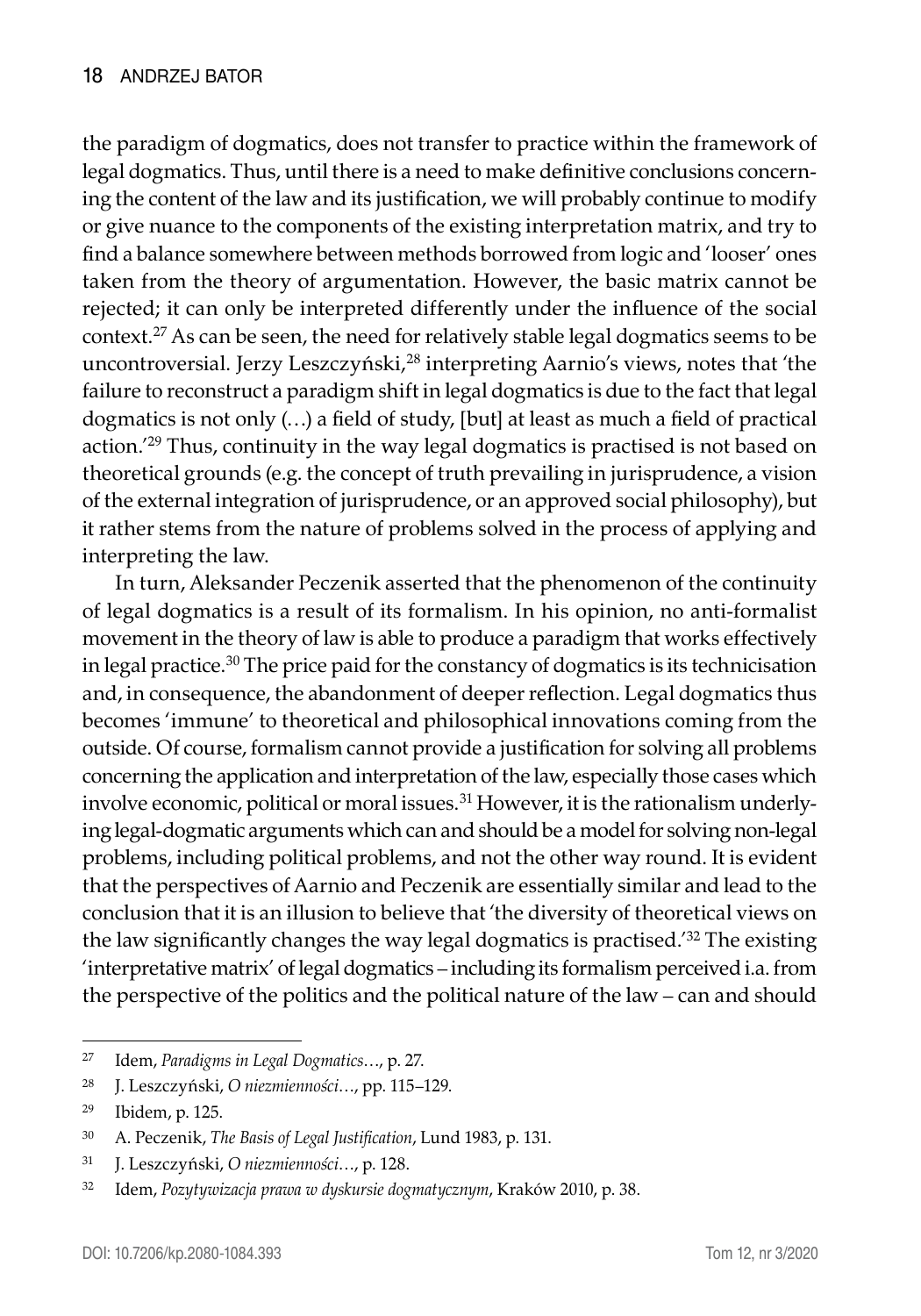the paradigm of dogmatics, does not transfer to practice within the framework of legal dogmatics. Thus, until there is a need to make definitive conclusions concerning the content of the law and its justification, we will probably continue to modify or give nuance to the components of the existing interpretation matrix, and try to find a balance somewhere between methods borrowed from logic and 'looser' ones taken from the theory of argumentation. However, the basic matrix cannot be rejected; it can only be interpreted differently under the influence of the social context.<sup>27</sup> As can be seen, the need for relatively stable legal dogmatics seems to be uncontroversial. Jerzy Leszczyński,<sup>28</sup> interpreting Aarnio's views, notes that 'the failure to reconstruct a paradigm shift in legal dogmatics is due to the fact that legal dogmatics is not only (…) a field of study, [but] at least as much a field of practical action.<sup>'29</sup> Thus, continuity in the way legal dogmatics is practised is not based on theoretical grounds (e.g. the concept of truth prevailing in jurisprudence, a vision of the external integration of jurisprudence, or an approved social philosophy), but it rather stems from the nature of problems solved in the process of applying and interpreting the law.

In turn, Aleksander Peczenik asserted that the phenomenon of the continuity of legal dogmatics is a result of its formalism. In his opinion, no anti-formalist movement in the theory of law is able to produce a paradigm that works effectively in legal practice.<sup>30</sup> The price paid for the constancy of dogmatics is its technicisation and, in consequence, the abandonment of deeper reflection. Legal dogmatics thus becomes 'immune' to theoretical and philosophical innovations coming from the outside. Of course, formalism cannot provide a justification for solving all problems concerning the application and interpretation of the law, especially those cases which involve economic, political or moral issues.<sup>31</sup> However, it is the rationalism underlying legal-dogmatic arguments which can and should be a model for solving non-legal problems, including political problems, and not the other way round. It is evident that the perspectives of Aarnio and Peczenik are essentially similar and lead to the conclusion that it is an illusion to believe that 'the diversity of theoretical views on the law significantly changes the way legal dogmatics is practised.'<sup>32</sup> The existing 'interpretative matrix' of legal dogmatics – including its formalism perceived i.a. from the perspective of the politics and the political nature of the law – can and should

<sup>27</sup> Idem, *Paradigms in Legal Dogmatics*…, p. 27.

<sup>28</sup> J. Leszczyński, *O niezmienności*…, pp. 115–129.

<sup>29</sup> Ibidem, p. 125.

<sup>30</sup> A. Peczenik, *The Basis of Legal Justification*, Lund 1983, p. 131.

<sup>31</sup> J. Leszczyński, *O niezmienności*…, p. 128.

<sup>32</sup> Idem, *Pozytywizacja prawa w dyskursie dogmatycznym*, Kraków 2010, p. 38.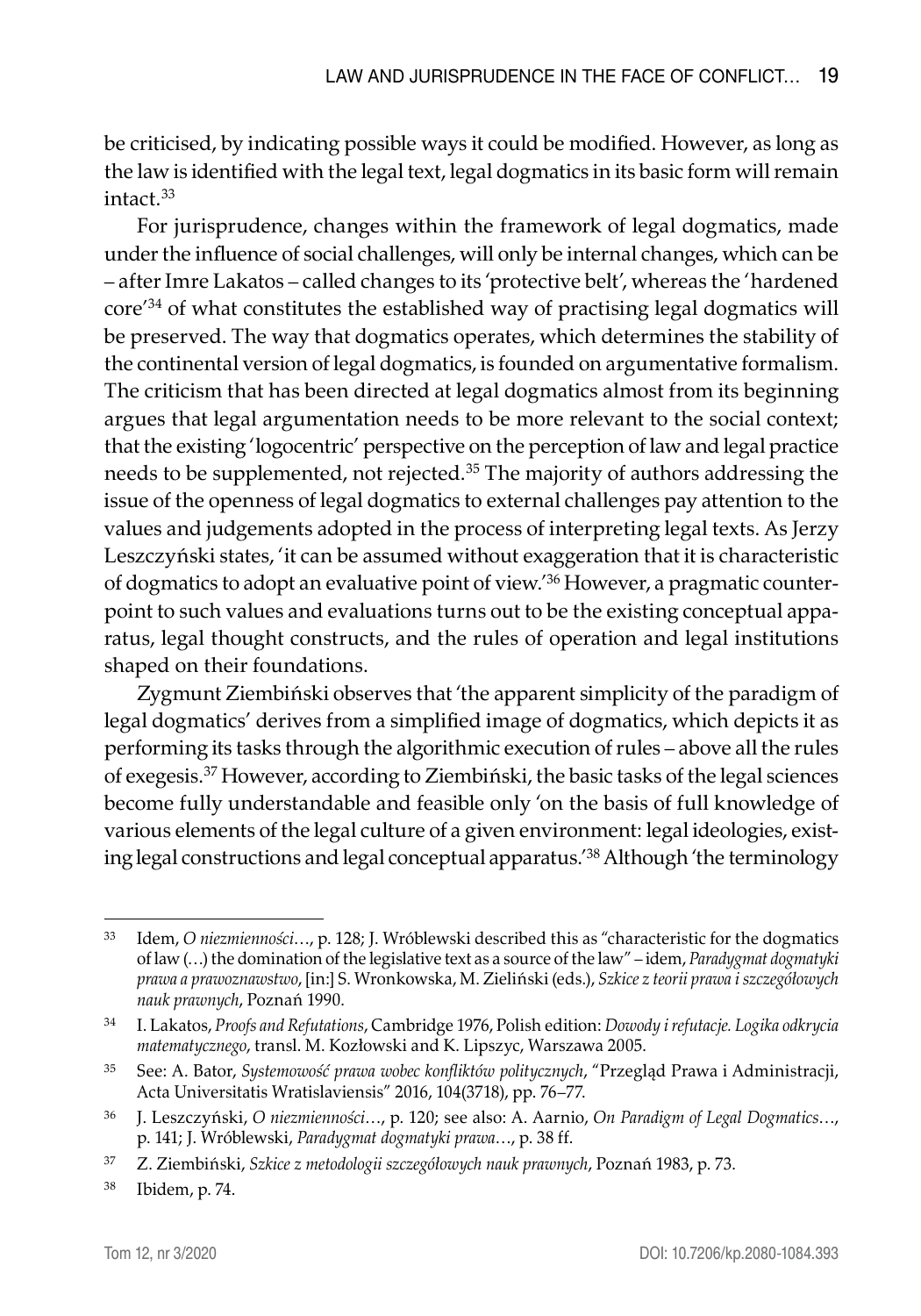be criticised, by indicating possible ways it could be modified. However, as long as the law is identified with the legal text, legal dogmatics in its basic form will remain intact.33

For jurisprudence, changes within the framework of legal dogmatics, made under the influence of social challenges, will only be internal changes, which can be – after Imre Lakatos – called changes to its 'protective belt', whereas the 'hardened core'<sup>34</sup> of what constitutes the established way of practising legal dogmatics will be preserved. The way that dogmatics operates, which determines the stability of the continental version of legal dogmatics, is founded on argumentative formalism. The criticism that has been directed at legal dogmatics almost from its beginning argues that legal argumentation needs to be more relevant to the social context; that the existing 'logocentric' perspective on the perception of law and legal practice needs to be supplemented, not rejected.<sup>35</sup> The majority of authors addressing the issue of the openness of legal dogmatics to external challenges pay attention to the values and judgements adopted in the process of interpreting legal texts. As Jerzy Leszczyński states, 'it can be assumed without exaggeration that it is characteristic of dogmatics to adopt an evaluative point of view.'36 However, a pragmatic counterpoint to such values and evaluations turns out to be the existing conceptual apparatus, legal thought constructs, and the rules of operation and legal institutions shaped on their foundations.

Zygmunt Ziembiński observes that 'the apparent simplicity of the paradigm of legal dogmatics' derives from a simplified image of dogmatics, which depicts it as performing its tasks through the algorithmic execution of rules – above all the rules of exegesis.<sup>37</sup> However, according to Ziembiński, the basic tasks of the legal sciences become fully understandable and feasible only 'on the basis of full knowledge of various elements of the legal culture of a given environment: legal ideologies, existing legal constructions and legal conceptual apparatus.'38 Although 'the terminology

<sup>33</sup> Idem, *O niezmienności*…, p. 128; J. Wróblewski described this as "characteristic for the dogmatics of law (…) the domination of the legislative text as a source of the law" – idem, *Paradygmat dogmatyki prawa a prawoznawstwo*, [in:] S. Wronkowska, M. Zieliński (eds.), *Szkice z teorii prawa i szczegółowych nauk prawnych*, Poznań 1990.

<sup>34</sup> I. Lakatos, *Proofs and Refutations*, Cambridge 1976, Polish edition: *Dowody i refutacje. Logika odkrycia matematycznego*, transl. M. Kozłowski and K. Lipszyc, Warszawa 2005.

<sup>35</sup> See: A. Bator, *Systemowość prawa wobec konfliktów politycznych*, "Przegląd Prawa i Administracji, Acta Universitatis Wratislaviensis" 2016, 104(3718), pp. 76–77.

<sup>36</sup> J. Leszczyński, *O niezmienności*…, p. 120; see also: A. Aarnio, *On Paradigm of Legal Dogmatics*…, p. 141; J. Wróblewski, *Paradygmat dogmatyki prawa*…, p. 38 ff.

<sup>37</sup> Z. Ziembiński, *Szkice z metodologii szczegółowych nauk prawnych*, Poznań 1983, p. 73.

<sup>38</sup> Ibidem, p. 74.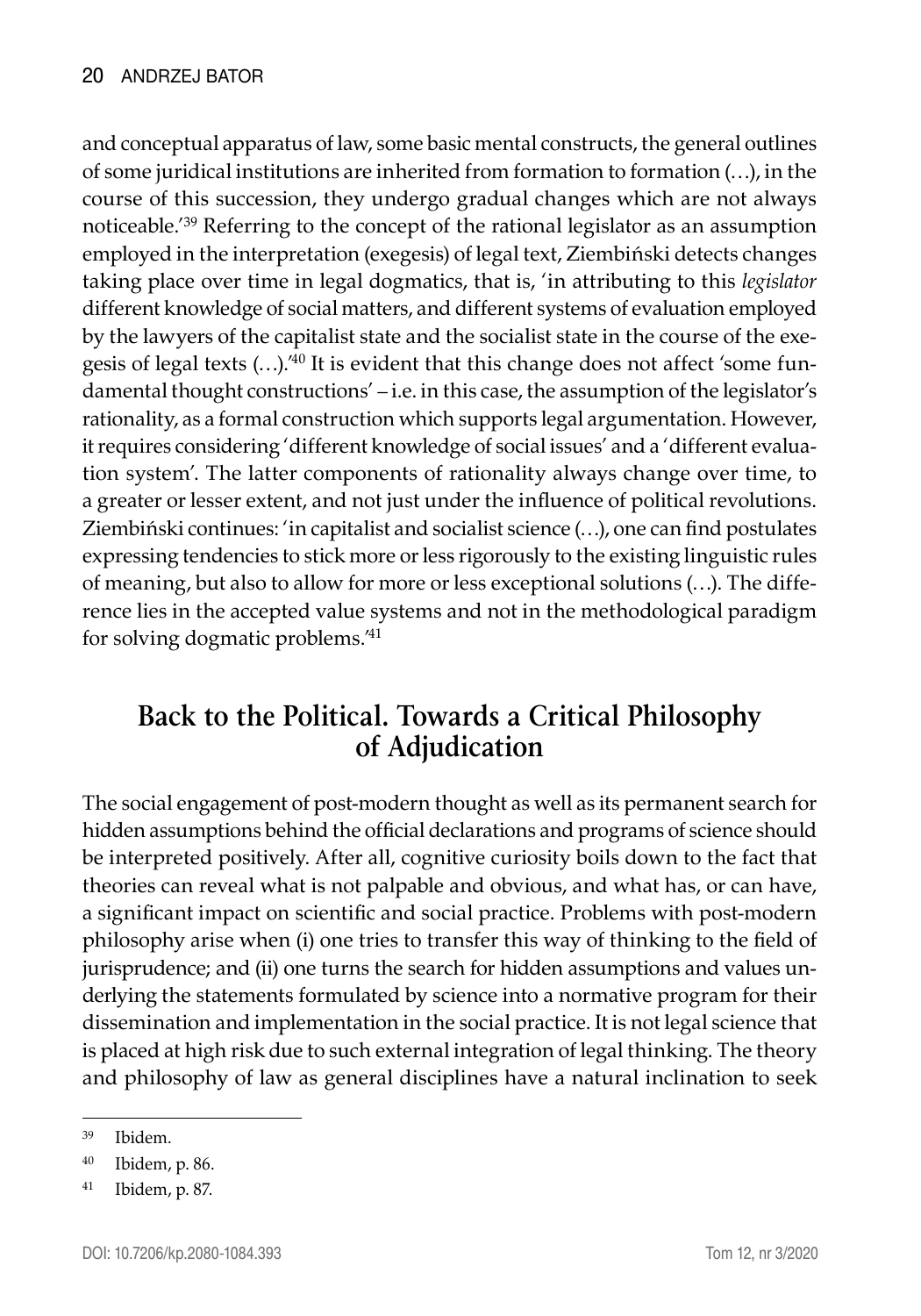and conceptual apparatus of law, some basic mental constructs, the general outlines of some juridical institutions are inherited from formation to formation (…), in the course of this succession, they undergo gradual changes which are not always noticeable.'<sup>39</sup> Referring to the concept of the rational legislator as an assumption employed in the interpretation (exegesis) of legal text, Ziembiński detects changes taking place over time in legal dogmatics, that is, 'in attributing to this *legislator* different knowledge of social matters, and different systems of evaluation employed by the lawyers of the capitalist state and the socialist state in the course of the exegesis of legal texts (…).'40 It is evident that this change does not affect 'some fundamental thought constructions' – i.e. in this case, the assumption of the legislator's rationality, as a formal construction which supports legal argumentation. However, it requires considering 'different knowledge of social issues' and a 'different evaluation system'. The latter components of rationality always change over time, to a greater or lesser extent, and not just under the influence of political revolutions. Ziembiński continues: 'in capitalist and socialist science (…), one can find postulates expressing tendencies to stick more or less rigorously to the existing linguistic rules of meaning, but also to allow for more or less exceptional solutions (…). The difference lies in the accepted value systems and not in the methodological paradigm for solving dogmatic problems.'<sup>41</sup>

## **Back to the Political. Towards a Critical Philosophy of Adjudication**

The social engagement of post-modern thought as well as its permanent search for hidden assumptions behind the official declarations and programs of science should be interpreted positively. After all, cognitive curiosity boils down to the fact that theories can reveal what is not palpable and obvious, and what has, or can have, a significant impact on scientific and social practice. Problems with post-modern philosophy arise when (i) one tries to transfer this way of thinking to the field of jurisprudence; and (ii) one turns the search for hidden assumptions and values underlying the statements formulated by science into a normative program for their dissemination and implementation in the social practice. It is not legal science that is placed at high risk due to such external integration of legal thinking. The theory and philosophy of law as general disciplines have a natural inclination to seek

<sup>39</sup> Ibidem.

<sup>40</sup> Ibidem, p. 86.

<sup>41</sup> Ibidem, p. 87.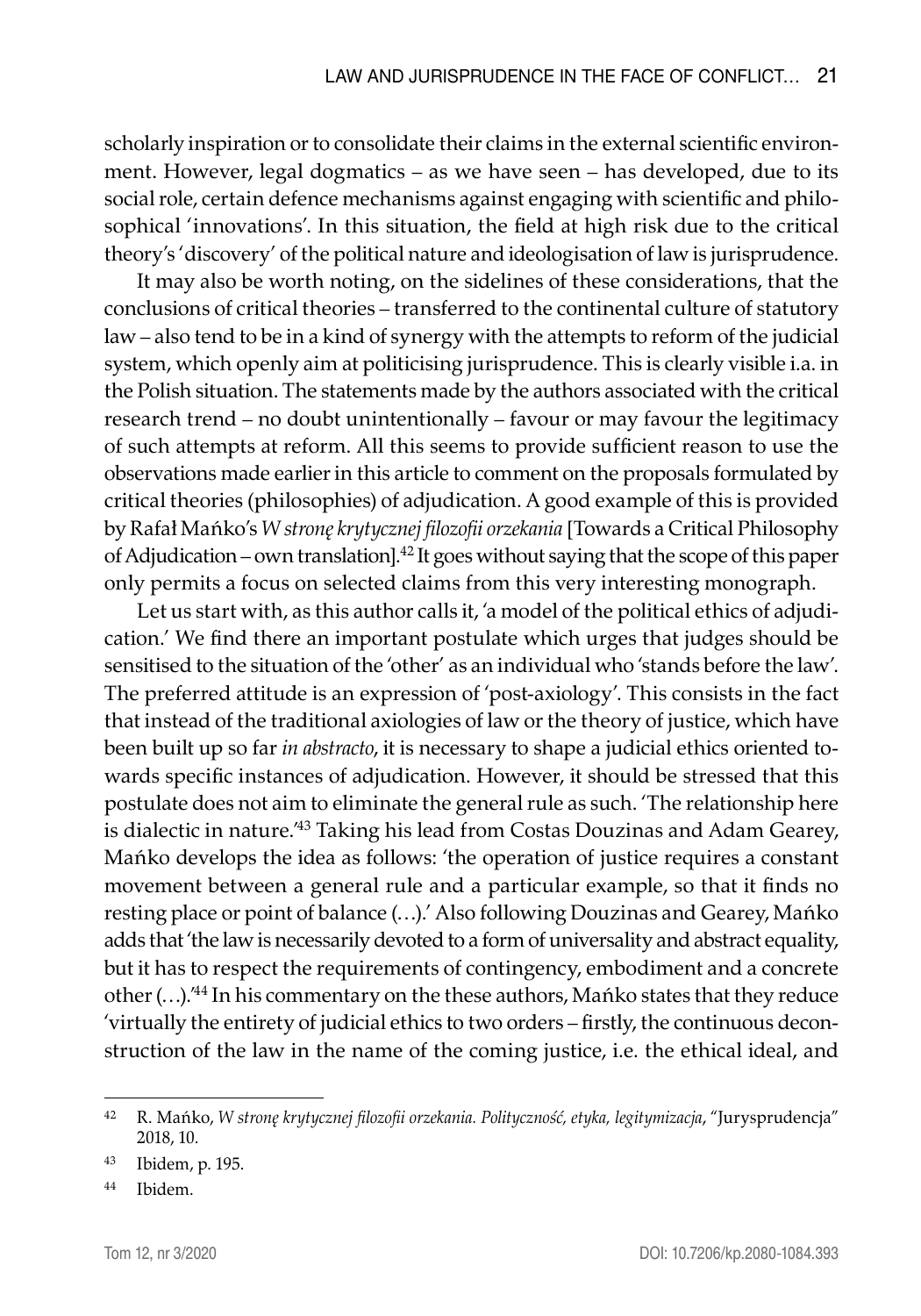scholarly inspiration or to consolidate their claims in the external scientific environment. However, legal dogmatics – as we have seen – has developed, due to its social role, certain defence mechanisms against engaging with scientific and philosophical 'innovations'. In this situation, the field at high risk due to the critical theory's 'discovery' of the political nature and ideologisation of law is jurisprudence.

It may also be worth noting, on the sidelines of these considerations, that the conclusions of critical theories – transferred to the continental culture of statutory law – also tend to be in a kind of synergy with the attempts to reform of the judicial system, which openly aim at politicising jurisprudence. This is clearly visible i.a. in the Polish situation. The statements made by the authors associated with the critical research trend – no doubt unintentionally – favour or may favour the legitimacy of such attempts at reform. All this seems to provide sufficient reason to use the observations made earlier in this article to comment on the proposals formulated by critical theories (philosophies) of adjudication. A good example of this is provided by Rafał Mańko's *W stronę krytycznej filozofii orzekania* [Towards a Critical Philosophy of Adjudication – own translation].<sup>42</sup> It goes without saying that the scope of this paper only permits a focus on selected claims from this very interesting monograph.

Let us start with, as this author calls it, 'a model of the political ethics of adjudication.' We find there an important postulate which urges that judges should be sensitised to the situation of the 'other' as an individual who 'stands before the law'. The preferred attitude is an expression of 'post-axiology'. This consists in the fact that instead of the traditional axiologies of law or the theory of justice, which have been built up so far *in abstracto*, it is necessary to shape a judicial ethics oriented towards specific instances of adjudication. However, it should be stressed that this postulate does not aim to eliminate the general rule as such. 'The relationship here is dialectic in nature.'<sup>43</sup> Taking his lead from Costas Douzinas and Adam Gearey, Mańko develops the idea as follows: 'the operation of justice requires a constant movement between a general rule and a particular example, so that it finds no resting place or point of balance (…).' Also following Douzinas and Gearey, Mańko adds that 'the law is necessarily devoted to a form of universality and abstract equality, but it has to respect the requirements of contingency, embodiment and a concrete other (…).'<sup>44</sup> In his commentary on the these authors, Mańko states that they reduce 'virtually the entirety of judicial ethics to two orders – firstly, the continuous deconstruction of the law in the name of the coming justice, i.e. the ethical ideal, and

<sup>42</sup> R. Mańko, *W stronę krytycznej filozofii orzekania. Polityczność, etyka, legitymizacja*, "Jurysprudencja" 2018, 10.

<sup>43</sup> Ibidem, p. 195.

<sup>44</sup> Ibidem.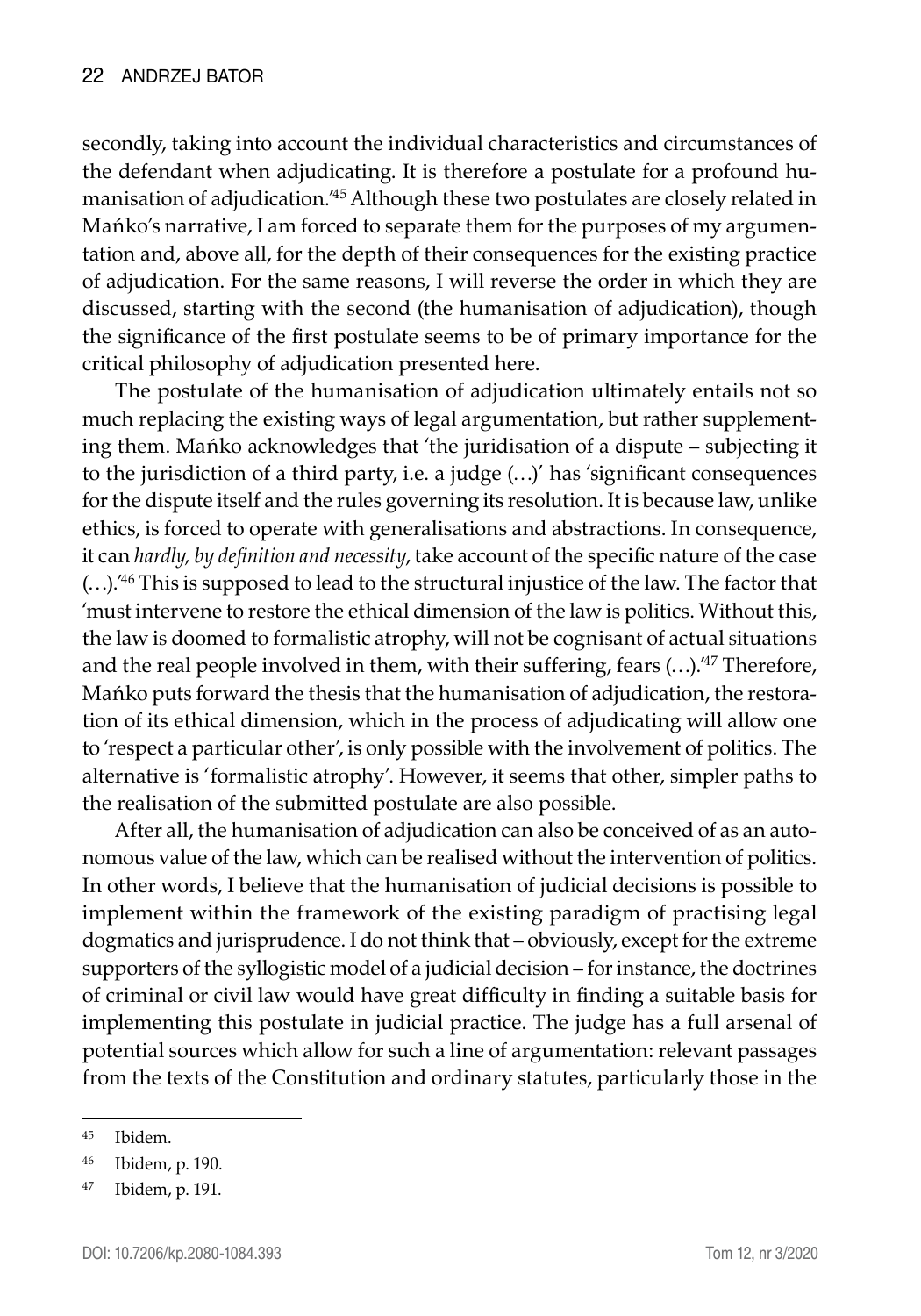secondly, taking into account the individual characteristics and circumstances of the defendant when adjudicating. It is therefore a postulate for a profound humanisation of adjudication.'<sup>45</sup> Although these two postulates are closely related in Mańko's narrative, I am forced to separate them for the purposes of my argumentation and, above all, for the depth of their consequences for the existing practice of adjudication. For the same reasons, I will reverse the order in which they are discussed, starting with the second (the humanisation of adjudication), though the significance of the first postulate seems to be of primary importance for the critical philosophy of adjudication presented here.

The postulate of the humanisation of adjudication ultimately entails not so much replacing the existing ways of legal argumentation, but rather supplementing them. Mańko acknowledges that 'the juridisation of a dispute – subjecting it to the jurisdiction of a third party, i.e. a judge (…)' has 'significant consequences for the dispute itself and the rules governing its resolution. It is because law, unlike ethics, is forced to operate with generalisations and abstractions. In consequence, it can *hardly, by definition and necessity*, take account of the specific nature of the case  $(...)$ .<sup>46</sup> This is supposed to lead to the structural injustice of the law. The factor that 'must intervene to restore the ethical dimension of the law is politics. Without this, the law is doomed to formalistic atrophy, will not be cognisant of actual situations and the real people involved in them, with their suffering, fears  $(...)$ .<sup>47</sup> Therefore, Mańko puts forward the thesis that the humanisation of adjudication, the restoration of its ethical dimension, which in the process of adjudicating will allow one to 'respect a particular other', is only possible with the involvement of politics. The alternative is 'formalistic atrophy'. However, it seems that other, simpler paths to the realisation of the submitted postulate are also possible.

After all, the humanisation of adjudication can also be conceived of as an autonomous value of the law, which can be realised without the intervention of politics. In other words, I believe that the humanisation of judicial decisions is possible to implement within the framework of the existing paradigm of practising legal dogmatics and jurisprudence. I do not think that – obviously, except for the extreme supporters of the syllogistic model of a judicial decision – for instance, the doctrines of criminal or civil law would have great difficulty in finding a suitable basis for implementing this postulate in judicial practice. The judge has a full arsenal of potential sources which allow for such a line of argumentation: relevant passages from the texts of the Constitution and ordinary statutes, particularly those in the

<sup>45</sup> Ibidem.

<sup>46</sup> Ibidem, p. 190.

<sup>47</sup> Ibidem, p. 191.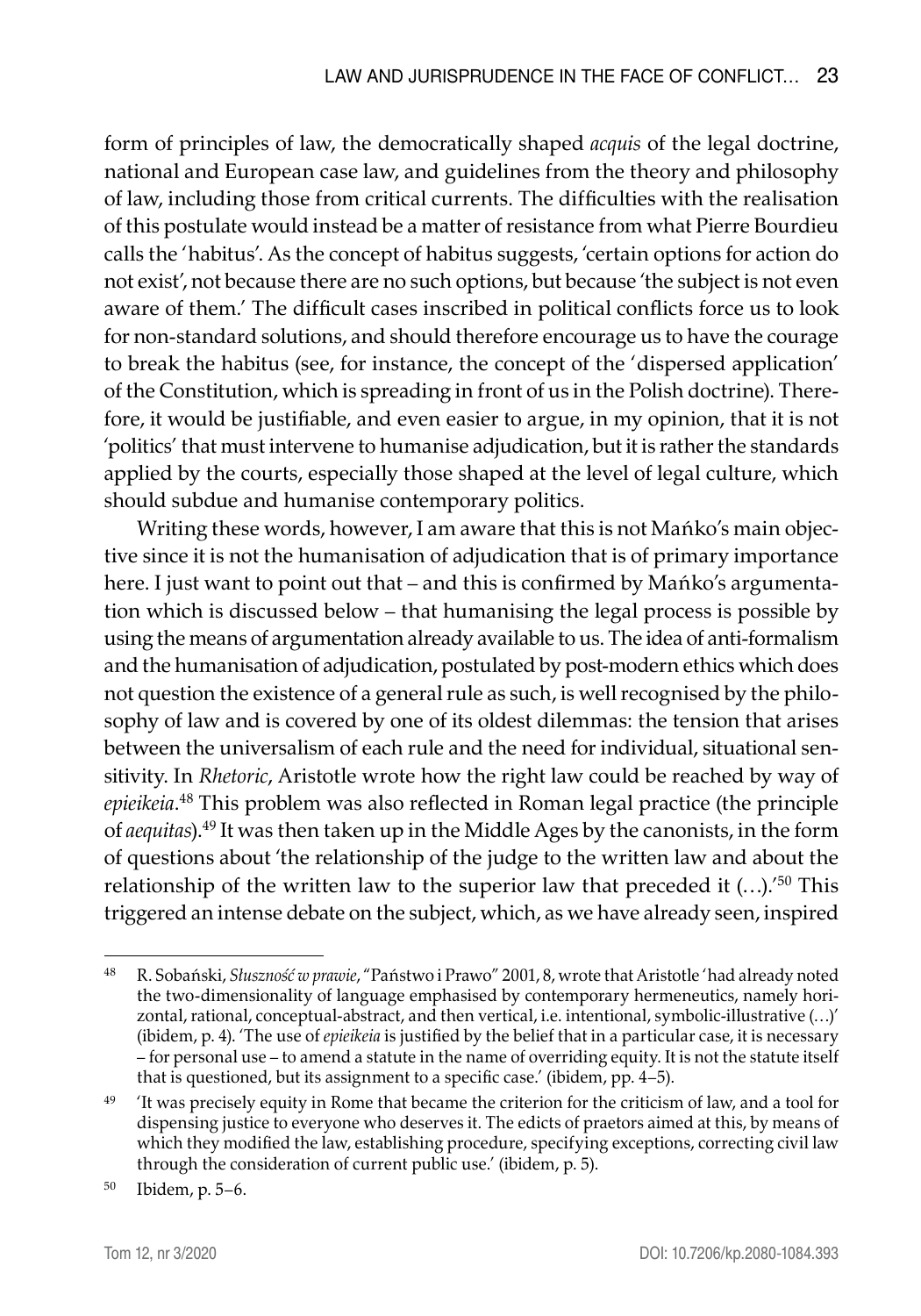form of principles of law, the democratically shaped *acquis* of the legal doctrine, national and European case law, and guidelines from the theory and philosophy of law, including those from critical currents. The difficulties with the realisation of this postulate would instead be a matter of resistance from what Pierre Bourdieu calls the 'habitus'. As the concept of habitus suggests, 'certain options for action do not exist', not because there are no such options, but because 'the subject is not even aware of them.' The difficult cases inscribed in political conflicts force us to look for non-standard solutions, and should therefore encourage us to have the courage to break the habitus (see, for instance, the concept of the 'dispersed application' of the Constitution, which is spreading in front of us in the Polish doctrine). Therefore, it would be justifiable, and even easier to argue, in my opinion, that it is not 'politics' that must intervene to humanise adjudication, but it is rather the standards applied by the courts, especially those shaped at the level of legal culture, which should subdue and humanise contemporary politics.

Writing these words, however, I am aware that this is not Mańko's main objective since it is not the humanisation of adjudication that is of primary importance here. I just want to point out that – and this is confirmed by Mańko's argumentation which is discussed below – that humanising the legal process is possible by using the means of argumentation already available to us. The idea of anti-formalism and the humanisation of adjudication, postulated by post-modern ethics which does not question the existence of a general rule as such, is well recognised by the philosophy of law and is covered by one of its oldest dilemmas: the tension that arises between the universalism of each rule and the need for individual, situational sensitivity. In *Rhetoric*, Aristotle wrote how the right law could be reached by way of *epieikeia*. 48 This problem was also reflected in Roman legal practice (the principle of *aequitas*).49 It was then taken up in the Middle Ages by the canonists, in the form of questions about 'the relationship of the judge to the written law and about the relationship of the written law to the superior law that preceded it  $(...)$ .<sup>'50</sup> This triggered an intense debate on the subject, which, as we have already seen, inspired

<sup>48</sup> R. Sobański, *Słuszność w prawie*, "Państwo i Prawo" 2001, 8, wrote that Aristotle 'had already noted the two-dimensionality of language emphasised by contemporary hermeneutics, namely horizontal, rational, conceptual-abstract, and then vertical, i.e. intentional, symbolic-illustrative (…)' (ibidem, p. 4). 'The use of *epieikeia* is justified by the belief that in a particular case, it is necessary – for personal use – to amend a statute in the name of overriding equity. It is not the statute itself that is questioned, but its assignment to a specific case.' (ibidem, pp. 4–5).

<sup>&</sup>lt;sup>49</sup> 'It was precisely equity in Rome that became the criterion for the criticism of law, and a tool for dispensing justice to everyone who deserves it. The edicts of praetors aimed at this, by means of which they modified the law, establishing procedure, specifying exceptions, correcting civil law through the consideration of current public use.' (ibidem, p. 5).

<sup>50</sup> Ibidem, p. 5–6.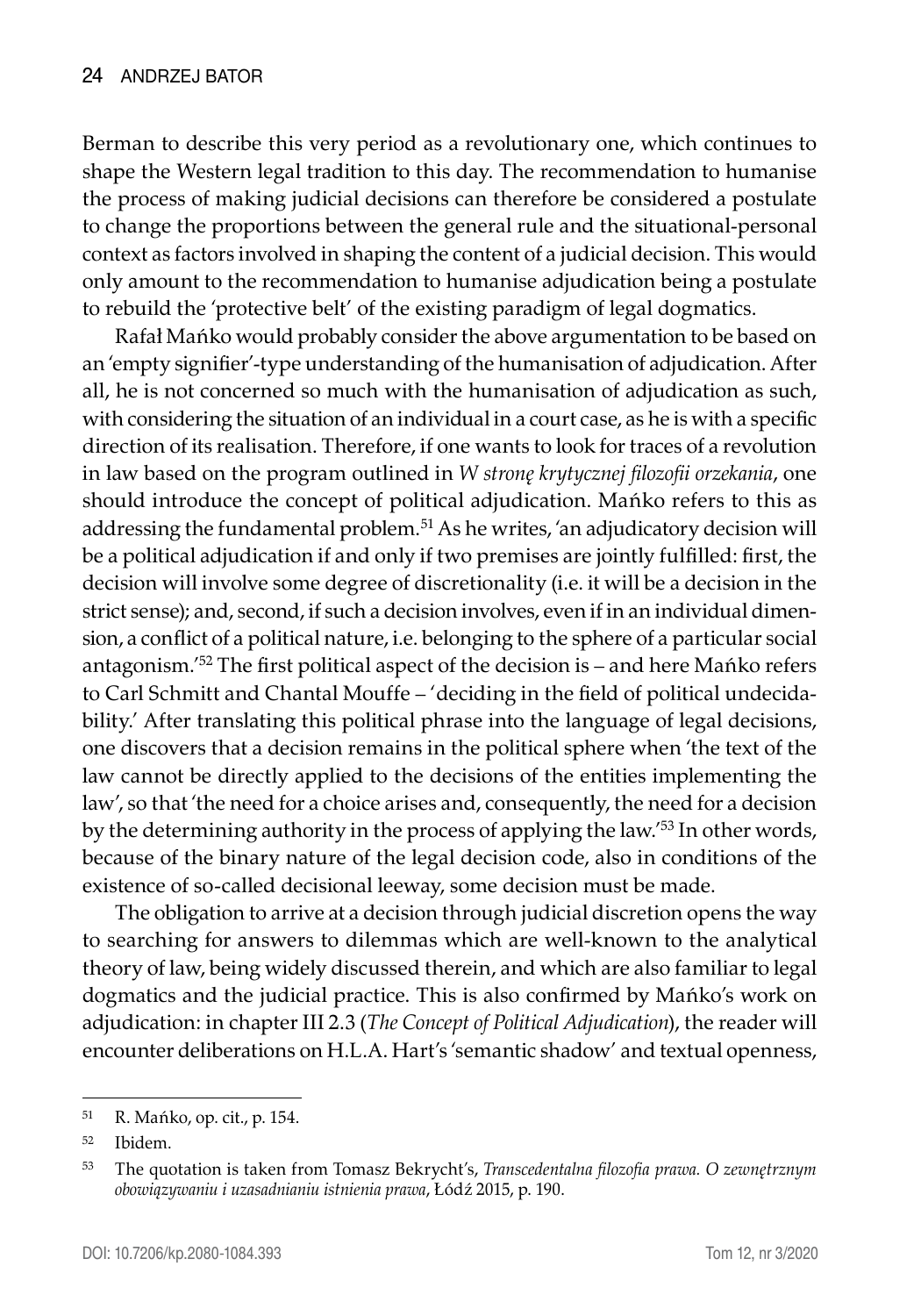Berman to describe this very period as a revolutionary one, which continues to shape the Western legal tradition to this day. The recommendation to humanise the process of making judicial decisions can therefore be considered a postulate to change the proportions between the general rule and the situational-personal context as factors involved in shaping the content of a judicial decision. This would only amount to the recommendation to humanise adjudication being a postulate to rebuild the 'protective belt' of the existing paradigm of legal dogmatics.

Rafał Mańko would probably consider the above argumentation to be based on an 'empty signifier'-type understanding of the humanisation of adjudication. After all, he is not concerned so much with the humanisation of adjudication as such, with considering the situation of an individual in a court case, as he is with a specific direction of its realisation. Therefore, if one wants to look for traces of a revolution in law based on the program outlined in *W stronę krytycznej filozofii orzekania*, one should introduce the concept of political adjudication. Mańko refers to this as addressing the fundamental problem.<sup>51</sup> As he writes, 'an adjudicatory decision will be a political adjudication if and only if two premises are jointly fulfilled: first, the decision will involve some degree of discretionality (i.e. it will be a decision in the strict sense); and, second, if such a decision involves, even if in an individual dimension, a conflict of a political nature, i.e. belonging to the sphere of a particular social antagonism.'<sup>52</sup> The first political aspect of the decision is – and here Mańko refers to Carl Schmitt and Chantal Mouffe – 'deciding in the field of political undecidability.' After translating this political phrase into the language of legal decisions, one discovers that a decision remains in the political sphere when 'the text of the law cannot be directly applied to the decisions of the entities implementing the law', so that 'the need for a choice arises and, consequently, the need for a decision by the determining authority in the process of applying the law.'<sup>53</sup> In other words, because of the binary nature of the legal decision code, also in conditions of the existence of so-called decisional leeway, some decision must be made.

The obligation to arrive at a decision through judicial discretion opens the way to searching for answers to dilemmas which are well-known to the analytical theory of law, being widely discussed therein, and which are also familiar to legal dogmatics and the judicial practice. This is also confirmed by Mańko's work on adjudication: in chapter III 2.3 (*The Concept of Political Adjudication*), the reader will encounter deliberations on H.L.A. Hart's 'semantic shadow' and textual openness,

<sup>51</sup> R. Mańko, op. cit., p. 154.

<sup>52</sup> Ibidem.

<sup>53</sup> The quotation is taken from Tomasz Bekrycht's, *Transcedentalna filozofia prawa. O zewnętrznym obowiązywaniu i uzasadnianiu istnienia prawa*, Łódź 2015, p. 190.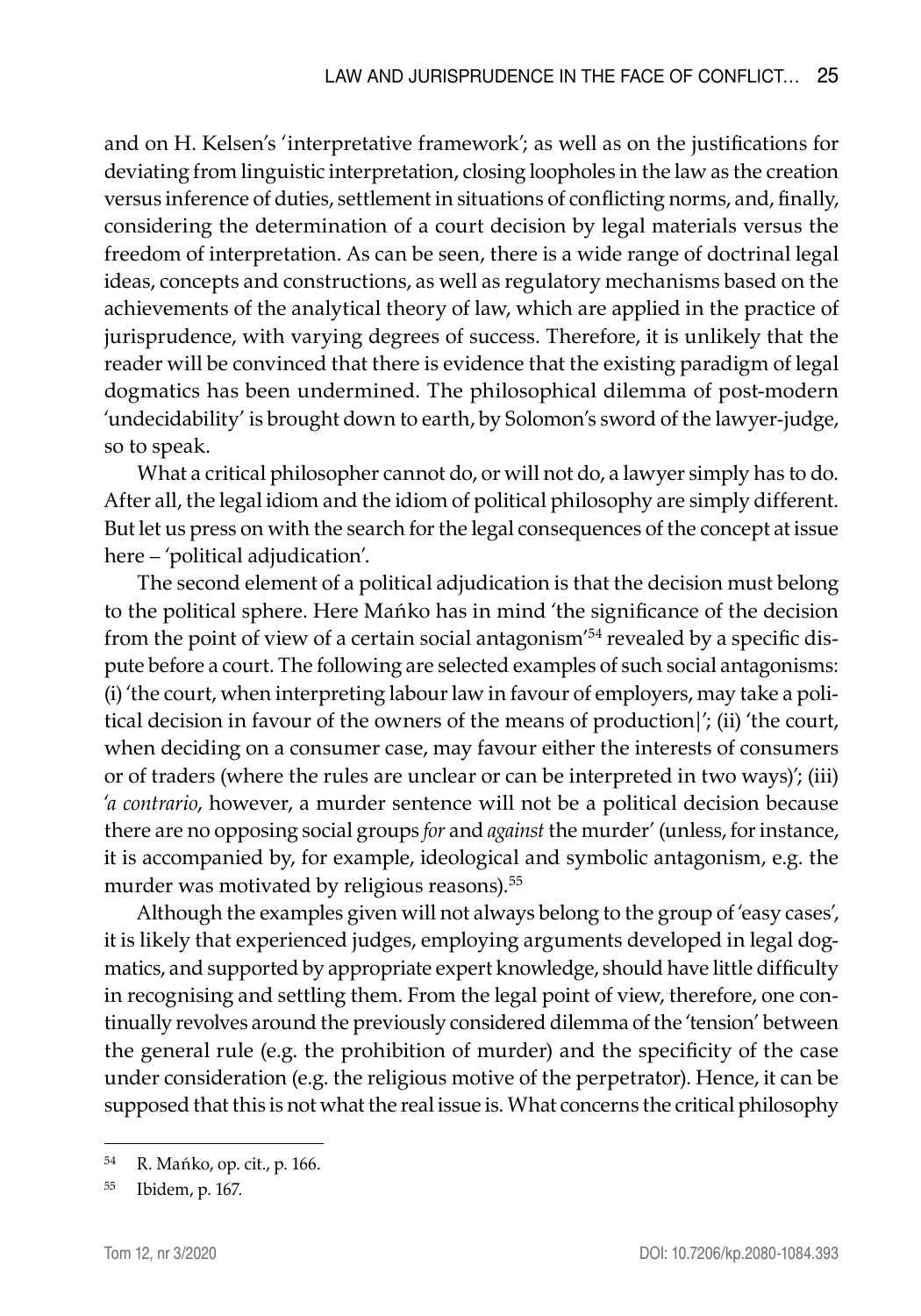and on H. Kelsen's 'interpretative framework'; as well as on the justifications for deviating from linguistic interpretation, closing loopholes in the law as the creation versus inference of duties, settlement in situations of conflicting norms, and, finally, considering the determination of a court decision by legal materials versus the freedom of interpretation. As can be seen, there is a wide range of doctrinal legal ideas, concepts and constructions, as well as regulatory mechanisms based on the achievements of the analytical theory of law, which are applied in the practice of jurisprudence, with varying degrees of success. Therefore, it is unlikely that the reader will be convinced that there is evidence that the existing paradigm of legal dogmatics has been undermined. The philosophical dilemma of post-modern 'undecidability' is brought down to earth, by Solomon's sword of the lawyer-judge, so to speak.

What a critical philosopher cannot do, or will not do, a lawyer simply has to do. After all, the legal idiom and the idiom of political philosophy are simply different. But let us press on with the search for the legal consequences of the concept at issue here – 'political adjudication'.

The second element of a political adjudication is that the decision must belong to the political sphere. Here Mańko has in mind 'the significance of the decision from the point of view of a certain social antagonism'54 revealed by a specific dispute before a court. The following are selected examples of such social antagonisms: (i) 'the court, when interpreting labour law in favour of employers, may take a political decision in favour of the owners of the means of production|'; (ii) 'the court, when deciding on a consumer case, may favour either the interests of consumers or of traders (where the rules are unclear or can be interpreted in two ways)'; (iii) '*a contrario*, however, a murder sentence will not be a political decision because there are no opposing social groups *for* and *against* the murder' (unless, for instance, it is accompanied by, for example, ideological and symbolic antagonism, e.g. the murder was motivated by religious reasons).<sup>55</sup>

Although the examples given will not always belong to the group of 'easy cases', it is likely that experienced judges, employing arguments developed in legal dogmatics, and supported by appropriate expert knowledge, should have little difficulty in recognising and settling them. From the legal point of view, therefore, one continually revolves around the previously considered dilemma of the 'tension' between the general rule (e.g. the prohibition of murder) and the specificity of the case under consideration (e.g. the religious motive of the perpetrator). Hence, it can be supposed that this is not what the real issue is. What concerns the critical philosophy

<sup>54</sup> R. Mańko, op. cit., p. 166.

<sup>55</sup> Ibidem, p. 167.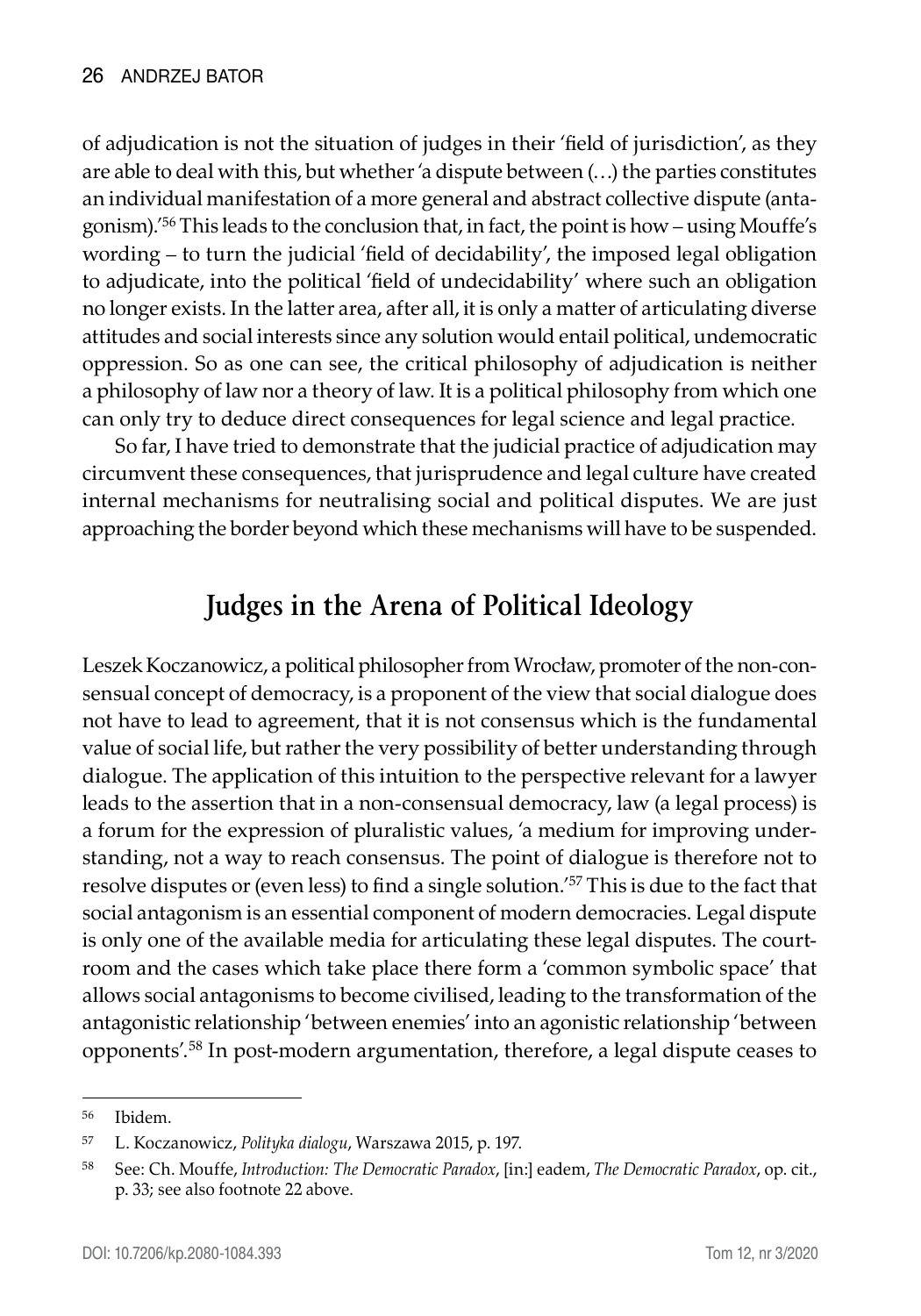of adjudication is not the situation of judges in their 'field of jurisdiction', as they are able to deal with this, but whether 'a dispute between (…) the parties constitutes an individual manifestation of a more general and abstract collective dispute (antagonism).<sup>'56</sup> This leads to the conclusion that, in fact, the point is how – using Mouffe's wording – to turn the judicial 'field of decidability', the imposed legal obligation to adjudicate, into the political 'field of undecidability' where such an obligation no longer exists. In the latter area, after all, it is only a matter of articulating diverse attitudes and social interests since any solution would entail political, undemocratic oppression. So as one can see, the critical philosophy of adjudication is neither a philosophy of law nor a theory of law. It is a political philosophy from which one can only try to deduce direct consequences for legal science and legal practice.

So far, I have tried to demonstrate that the judicial practice of adjudication may circumvent these consequences, that jurisprudence and legal culture have created internal mechanisms for neutralising social and political disputes. We are just approaching the border beyond which these mechanisms will have to be suspended.

## **Judges in the Arena of Political Ideology**

Leszek Koczanowicz, a political philosopher from Wrocław, promoter of the non-consensual concept of democracy, is a proponent of the view that social dialogue does not have to lead to agreement, that it is not consensus which is the fundamental value of social life, but rather the very possibility of better understanding through dialogue. The application of this intuition to the perspective relevant for a lawyer leads to the assertion that in a non-consensual democracy, law (a legal process) is a forum for the expression of pluralistic values, 'a medium for improving understanding, not a way to reach consensus. The point of dialogue is therefore not to resolve disputes or (even less) to find a single solution.'<sup>57</sup> This is due to the fact that social antagonism is an essential component of modern democracies. Legal dispute is only one of the available media for articulating these legal disputes. The courtroom and the cases which take place there form a 'common symbolic space' that allows social antagonisms to become civilised, leading to the transformation of the antagonistic relationship 'between enemies' into an agonistic relationship 'between opponents'.58 In post-modern argumentation, therefore, a legal dispute ceases to

<sup>56</sup> Ibidem.

<sup>57</sup> L. Koczanowicz, *Polityka dialogu*, Warszawa 2015, p. 197.

<sup>58</sup> See: Ch. Mouffe, *Introduction: The Democratic Paradox*, [in:] eadem, *The Democratic Paradox*, op. cit., p. 33; see also footnote 22 above.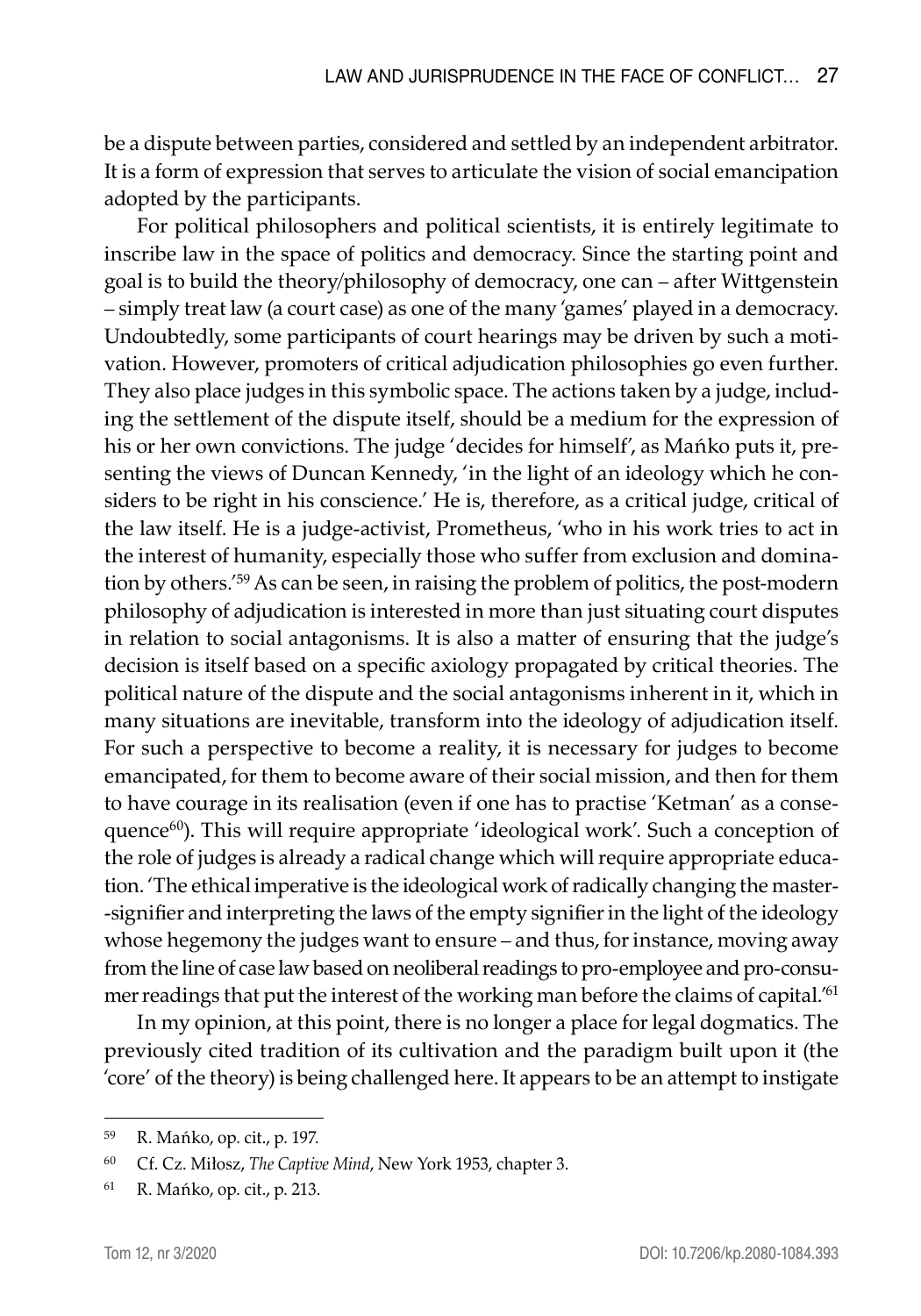be a dispute between parties, considered and settled by an independent arbitrator. It is a form of expression that serves to articulate the vision of social emancipation adopted by the participants.

For political philosophers and political scientists, it is entirely legitimate to inscribe law in the space of politics and democracy. Since the starting point and goal is to build the theory/philosophy of democracy, one can – after Wittgenstein – simply treat law (a court case) as one of the many 'games' played in a democracy. Undoubtedly, some participants of court hearings may be driven by such a motivation. However, promoters of critical adjudication philosophies go even further. They also place judges in this symbolic space. The actions taken by a judge, including the settlement of the dispute itself, should be a medium for the expression of his or her own convictions. The judge 'decides for himself', as Mańko puts it, presenting the views of Duncan Kennedy, 'in the light of an ideology which he considers to be right in his conscience.' He is, therefore, as a critical judge, critical of the law itself. He is a judge-activist, Prometheus, 'who in his work tries to act in the interest of humanity, especially those who suffer from exclusion and domination by others.'<sup>59</sup> As can be seen, in raising the problem of politics, the post-modern philosophy of adjudication is interested in more than just situating court disputes in relation to social antagonisms. It is also a matter of ensuring that the judge's decision is itself based on a specific axiology propagated by critical theories. The political nature of the dispute and the social antagonisms inherent in it, which in many situations are inevitable, transform into the ideology of adjudication itself. For such a perspective to become a reality, it is necessary for judges to become emancipated, for them to become aware of their social mission, and then for them to have courage in its realisation (even if one has to practise 'Ketman' as a consequence<sup>60</sup>). This will require appropriate 'ideological work'. Such a conception of the role of judges is already a radical change which will require appropriate education. 'The ethical imperative is the ideological work of radically changing the master- -signifier and interpreting the laws of the empty signifier in the light of the ideology whose hegemony the judges want to ensure – and thus, for instance, moving away from the line of case law based on neoliberal readings to pro-employee and pro-consumer readings that put the interest of the working man before the claims of capital.<sup>'61</sup>

In my opinion, at this point, there is no longer a place for legal dogmatics. The previously cited tradition of its cultivation and the paradigm built upon it (the 'core' of the theory) is being challenged here. It appears to be an attempt to instigate

<sup>59</sup> R. Mańko, op. cit., p. 197.

<sup>60</sup> Cf. Cz. Miłosz, *The Captive Mind*, New York 1953, chapter 3.

<sup>61</sup> R. Mańko, op. cit., p. 213.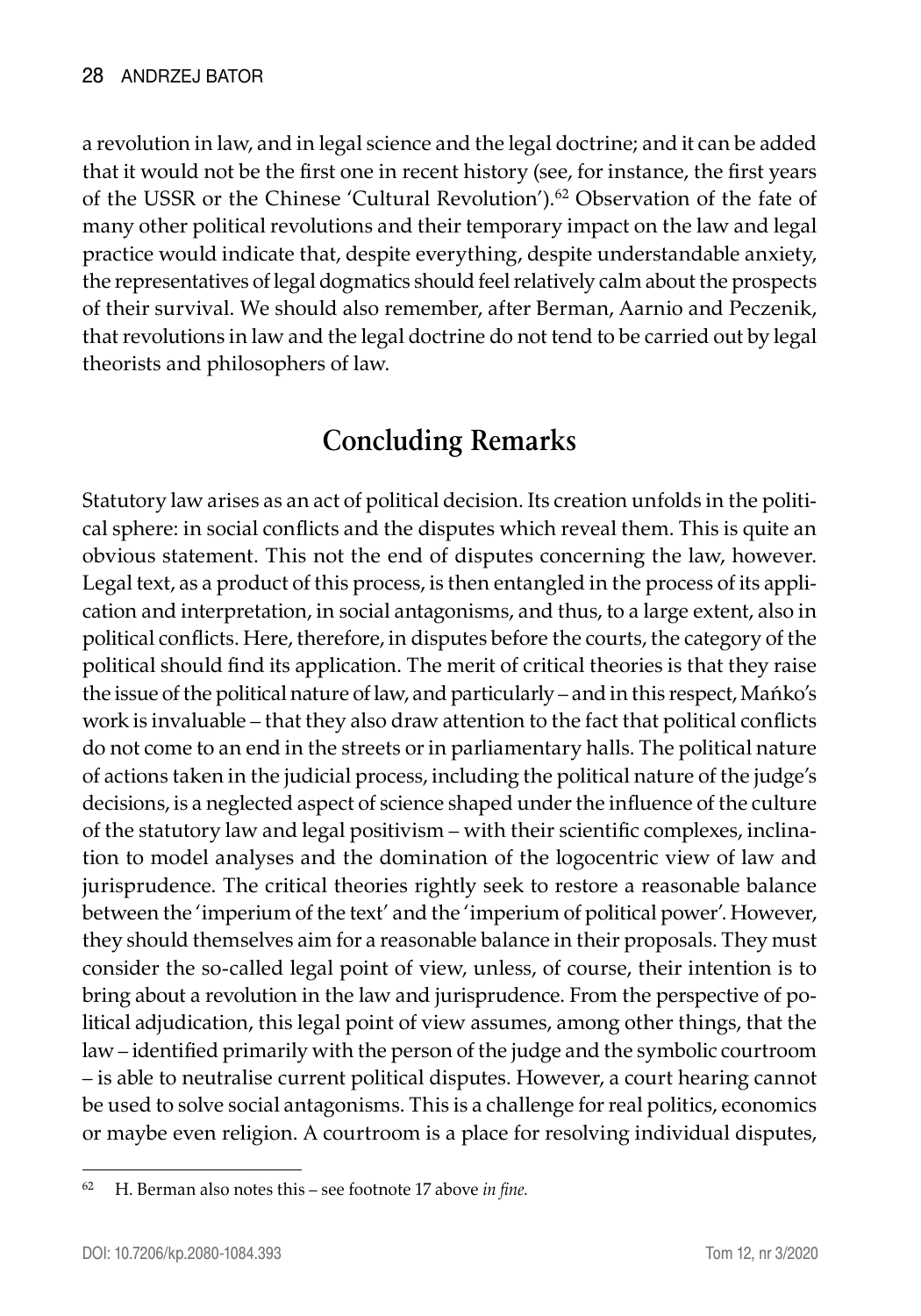a revolution in law, and in legal science and the legal doctrine; and it can be added that it would not be the first one in recent history (see, for instance, the first years of the USSR or the Chinese 'Cultural Revolution').<sup>62</sup> Observation of the fate of many other political revolutions and their temporary impact on the law and legal practice would indicate that, despite everything, despite understandable anxiety, the representatives of legal dogmatics should feel relatively calm about the prospects of their survival. We should also remember, after Berman, Aarnio and Peczenik, that revolutions in law and the legal doctrine do not tend to be carried out by legal theorists and philosophers of law.

## **Concluding Remarks**

Statutory law arises as an act of political decision. Its creation unfolds in the political sphere: in social conflicts and the disputes which reveal them. This is quite an obvious statement. This not the end of disputes concerning the law, however. Legal text, as a product of this process, is then entangled in the process of its application and interpretation, in social antagonisms, and thus, to a large extent, also in political conflicts. Here, therefore, in disputes before the courts, the category of the political should find its application. The merit of critical theories is that they raise the issue of the political nature of law, and particularly – and in this respect, Mańko's work is invaluable – that they also draw attention to the fact that political conflicts do not come to an end in the streets or in parliamentary halls. The political nature of actions taken in the judicial process, including the political nature of the judge's decisions, is a neglected aspect of science shaped under the influence of the culture of the statutory law and legal positivism – with their scientific complexes, inclination to model analyses and the domination of the logocentric view of law and jurisprudence. The critical theories rightly seek to restore a reasonable balance between the 'imperium of the text' and the 'imperium of political power'. However, they should themselves aim for a reasonable balance in their proposals. They must consider the so-called legal point of view, unless, of course, their intention is to bring about a revolution in the law and jurisprudence. From the perspective of political adjudication, this legal point of view assumes, among other things, that the law – identified primarily with the person of the judge and the symbolic courtroom – is able to neutralise current political disputes. However, a court hearing cannot be used to solve social antagonisms. This is a challenge for real politics, economics or maybe even religion. A courtroom is a place for resolving individual disputes,

<sup>62</sup> H. Berman also notes this – see footnote 17 above *in fine.*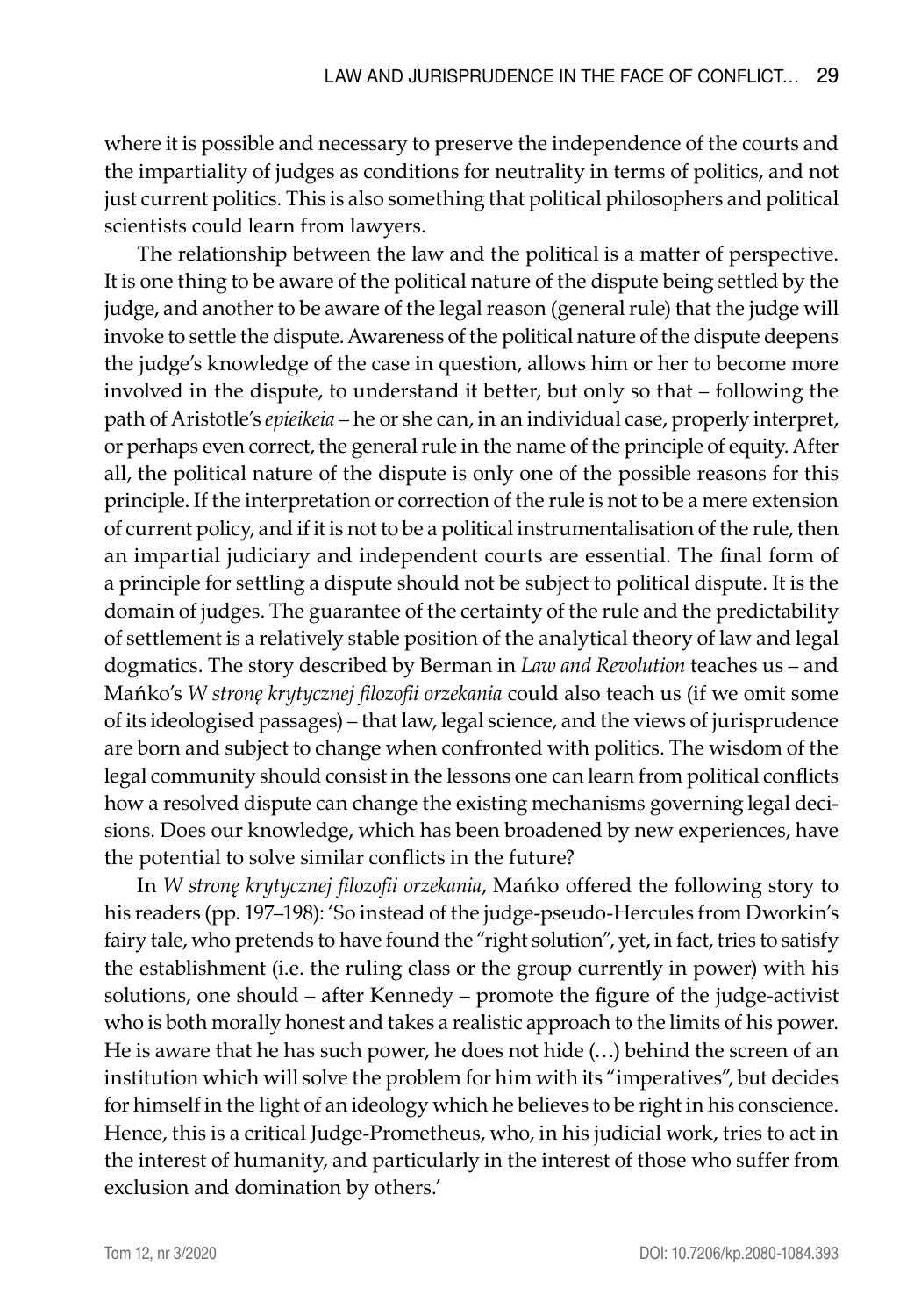where it is possible and necessary to preserve the independence of the courts and the impartiality of judges as conditions for neutrality in terms of politics, and not just current politics. This is also something that political philosophers and political scientists could learn from lawyers.

The relationship between the law and the political is a matter of perspective. It is one thing to be aware of the political nature of the dispute being settled by the judge, and another to be aware of the legal reason (general rule) that the judge will invoke to settle the dispute. Awareness of the political nature of the dispute deepens the judge's knowledge of the case in question, allows him or her to become more involved in the dispute, to understand it better, but only so that – following the path of Aristotle's *epieikeia* – he or she can, in an individual case, properly interpret, or perhaps even correct, the general rule in the name of the principle of equity. After all, the political nature of the dispute is only one of the possible reasons for this principle. If the interpretation or correction of the rule is not to be a mere extension of current policy, and if it is not to be a political instrumentalisation of the rule, then an impartial judiciary and independent courts are essential. The final form of a principle for settling a dispute should not be subject to political dispute. It is the domain of judges. The guarantee of the certainty of the rule and the predictability of settlement is a relatively stable position of the analytical theory of law and legal dogmatics. The story described by Berman in *Law and Revolution* teaches us – and Mańko's *W stronę krytycznej filozofii orzekania* could also teach us (if we omit some of its ideologised passages) – that law, legal science, and the views of jurisprudence are born and subject to change when confronted with politics. The wisdom of the legal community should consist in the lessons one can learn from political conflicts how a resolved dispute can change the existing mechanisms governing legal decisions. Does our knowledge, which has been broadened by new experiences, have the potential to solve similar conflicts in the future?

In *W stronę krytycznej filozofii orzekania*, Mańko offered the following story to his readers (pp. 197–198): 'So instead of the judge-pseudo-Hercules from Dworkin's fairy tale, who pretends to have found the "right solution", yet, in fact, tries to satisfy the establishment (i.e. the ruling class or the group currently in power) with his solutions, one should – after Kennedy – promote the figure of the judge-activist who is both morally honest and takes a realistic approach to the limits of his power. He is aware that he has such power, he does not hide (…) behind the screen of an institution which will solve the problem for him with its "imperatives", but decides for himself in the light of an ideology which he believes to be right in his conscience. Hence, this is a critical Judge-Prometheus, who, in his judicial work, tries to act in the interest of humanity, and particularly in the interest of those who suffer from exclusion and domination by others.'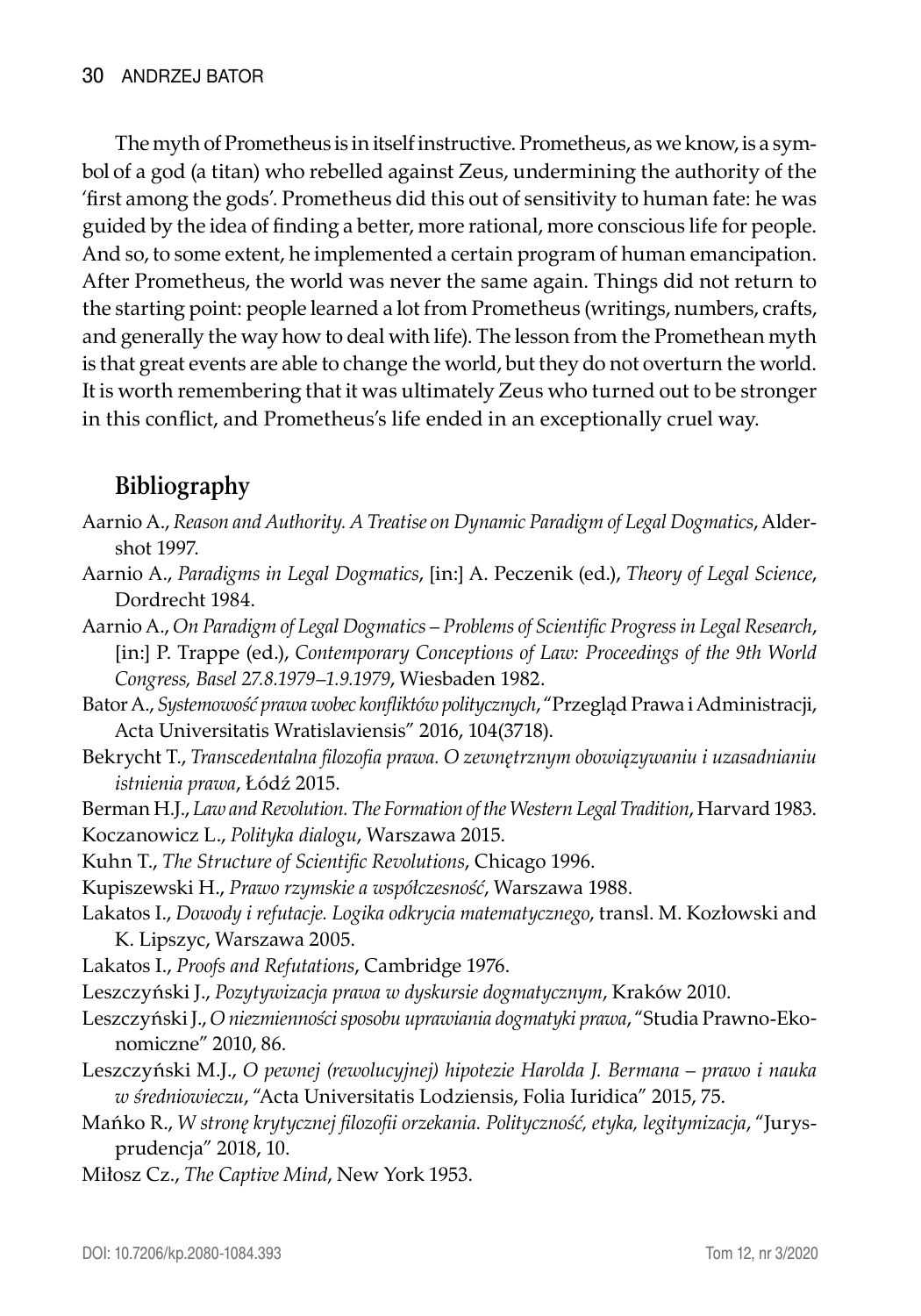The myth of Prometheus is in itself instructive. Prometheus, as we know, is a symbol of a god (a titan) who rebelled against Zeus, undermining the authority of the 'first among the gods'. Prometheus did this out of sensitivity to human fate: he was guided by the idea of finding a better, more rational, more conscious life for people. And so, to some extent, he implemented a certain program of human emancipation. After Prometheus, the world was never the same again. Things did not return to the starting point: people learned a lot from Prometheus (writings, numbers, crafts, and generally the way how to deal with life). The lesson from the Promethean myth is that great events are able to change the world, but they do not overturn the world. It is worth remembering that it was ultimately Zeus who turned out to be stronger in this conflict, and Prometheus's life ended in an exceptionally cruel way.

## **Bibliography**

- Aarnio A., *Reason and Authority. A Treatise on Dynamic Paradigm of Legal Dogmatics*, Aldershot 1997.
- Aarnio A., *Paradigms in Legal Dogmatics*, [in:] A. Peczenik (ed.), *Theory of Legal Science*, Dordrecht 1984.
- Aarnio A., *On Paradigm of Legal Dogmatics Problems of Scientific Progress in Legal Research*, [in:] P. Trappe (ed.), *Contemporary Conceptions of Law: Proceedings of the 9th World Congress, Basel 27.8.1979–1.9.1979*, Wiesbaden 1982.

Bator A., *Systemowość prawa wobec konfliktów politycznych*, "Przegląd Prawa i Administracji, Acta Universitatis Wratislaviensis" 2016, 104(3718).

- Bekrycht T., *Transcedentalna filozofia prawa. O zewnętrznym obowiązywaniu i uzasadnianiu istnienia prawa*, Łódź 2015.
- Berman H.J., *Law and Revolution. The Formation of the Western Legal Tradition*, Harvard 1983. Koczanowicz L., *Polityka dialogu*, Warszawa 2015.

Kuhn T., *The Structure of Scientific Revolutions*, Chicago 1996.

Kupiszewski H., *Prawo rzymskie a współczesność*, Warszawa 1988.

Lakatos I., *Dowody i refutacje. Logika odkrycia matematycznego*, transl. M. Kozłowski and K. Lipszyc, Warszawa 2005.

Lakatos I., *Proofs and Refutations*, Cambridge 1976.

- Leszczyński J., *Pozytywizacja prawa w dyskursie dogmatycznym*, Kraków 2010.
- Leszczyński J., *O niezmienności sposobu uprawiania dogmatyki prawa*, "Studia Prawno-Ekonomiczne" 2010, 86.
- Leszczyński M.J., *O pewnej (rewolucyjnej) hipotezie Harolda J. Bermana prawo i nauka w średniowieczu*, "Acta Universitatis Lodziensis, Folia Iuridica" 2015, 75.
- Mańko R., *W stronę krytycznej filozofii orzekania. Polityczność, etyka, legitymizacja*, "Jurysprudencja" 2018, 10.

Miłosz Cz., *The Captive Mind*, New York 1953.